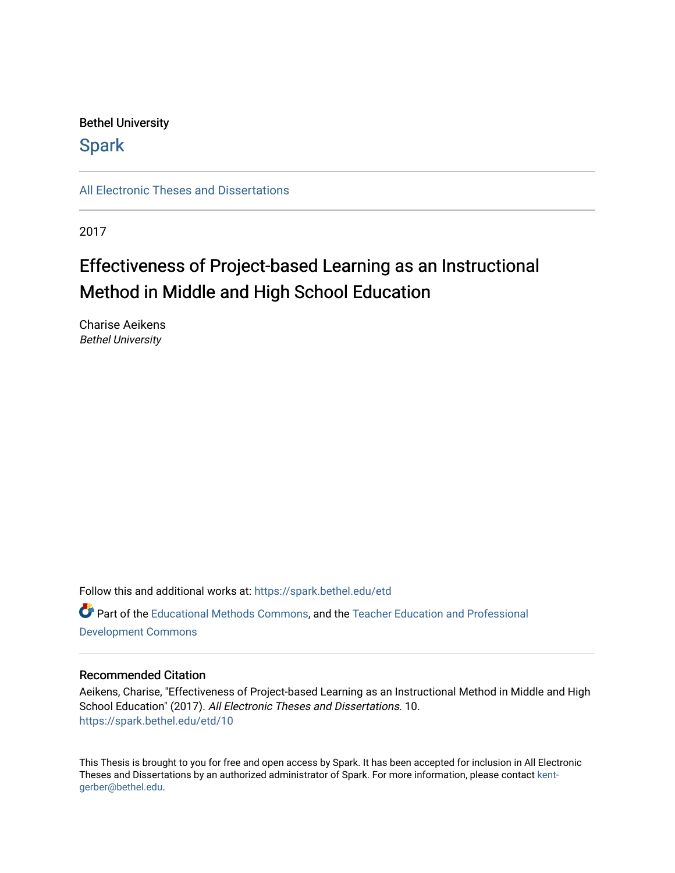### Bethel University

## **Spark**

[All Electronic Theses and Dissertations](https://spark.bethel.edu/etd) 

2017

# Effectiveness of Project-based Learning as an Instructional Method in Middle and High School Education

Charise Aeikens Bethel University

Follow this and additional works at: [https://spark.bethel.edu/etd](https://spark.bethel.edu/etd?utm_source=spark.bethel.edu%2Fetd%2F10&utm_medium=PDF&utm_campaign=PDFCoverPages) Part of the [Educational Methods Commons,](http://network.bepress.com/hgg/discipline/1227?utm_source=spark.bethel.edu%2Fetd%2F10&utm_medium=PDF&utm_campaign=PDFCoverPages) and the [Teacher Education and Professional](http://network.bepress.com/hgg/discipline/803?utm_source=spark.bethel.edu%2Fetd%2F10&utm_medium=PDF&utm_campaign=PDFCoverPages)  [Development Commons](http://network.bepress.com/hgg/discipline/803?utm_source=spark.bethel.edu%2Fetd%2F10&utm_medium=PDF&utm_campaign=PDFCoverPages) 

#### Recommended Citation

Aeikens, Charise, "Effectiveness of Project-based Learning as an Instructional Method in Middle and High School Education" (2017). All Electronic Theses and Dissertations. 10. [https://spark.bethel.edu/etd/10](https://spark.bethel.edu/etd/10?utm_source=spark.bethel.edu%2Fetd%2F10&utm_medium=PDF&utm_campaign=PDFCoverPages) 

This Thesis is brought to you for free and open access by Spark. It has been accepted for inclusion in All Electronic Theses and Dissertations by an authorized administrator of Spark. For more information, please contact [kent](mailto:kent-gerber@bethel.edu)[gerber@bethel.edu.](mailto:kent-gerber@bethel.edu)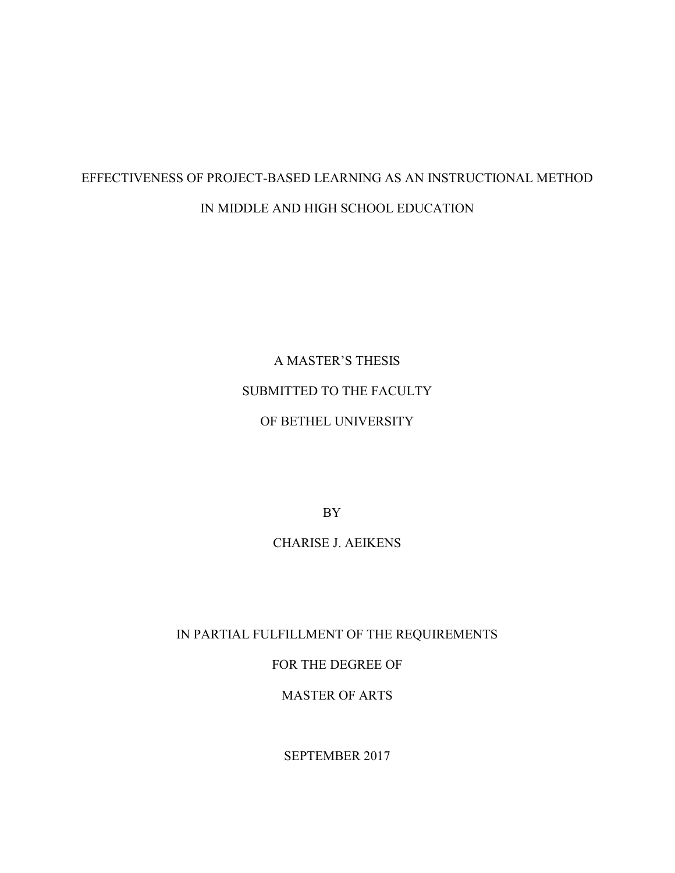# EFFECTIVENESS OF PROJECT-BASED LEARNING AS AN INSTRUCTIONAL METHOD IN MIDDLE AND HIGH SCHOOL EDUCATION

A MASTER'S THESIS SUBMITTED TO THE FACULTY OF BETHEL UNIVERSITY

BY

CHARISE J. AEIKENS

IN PARTIAL FULFILLMENT OF THE REQUIREMENTS

FOR THE DEGREE OF

MASTER OF ARTS

SEPTEMBER 2017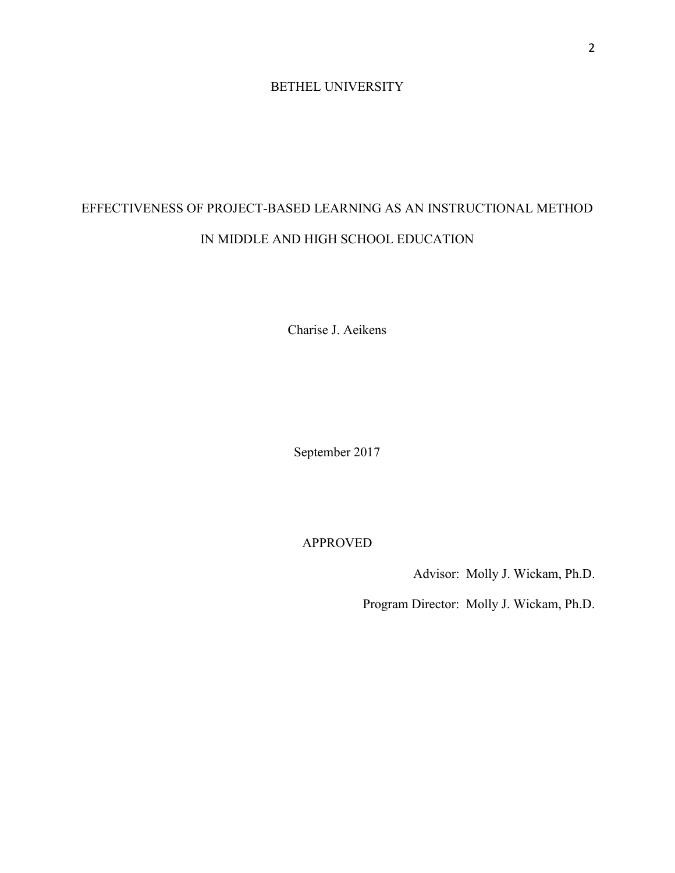### BETHEL UNIVERSITY

# EFFECTIVENESS OF PROJECT-BASED LEARNING AS AN INSTRUCTIONAL METHOD IN MIDDLE AND HIGH SCHOOL EDUCATION

Charise J. Aeikens

September 2017

APPROVED

Advisor: Molly J. Wickam, Ph.D.

Program Director: Molly J. Wickam, Ph.D.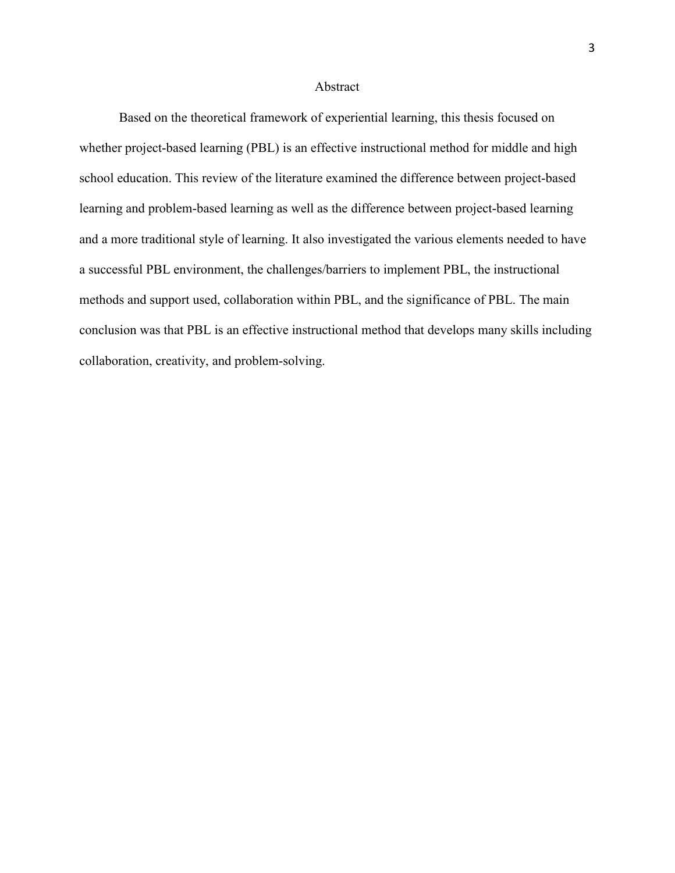#### Abstract

Based on the theoretical framework of experiential learning, this thesis focused on whether project-based learning (PBL) is an effective instructional method for middle and high school education. This review of the literature examined the difference between project-based learning and problem-based learning as well as the difference between project-based learning and a more traditional style of learning. It also investigated the various elements needed to have a successful PBL environment, the challenges/barriers to implement PBL, the instructional methods and support used, collaboration within PBL, and the significance of PBL. The main conclusion was that PBL is an effective instructional method that develops many skills including collaboration, creativity, and problem-solving.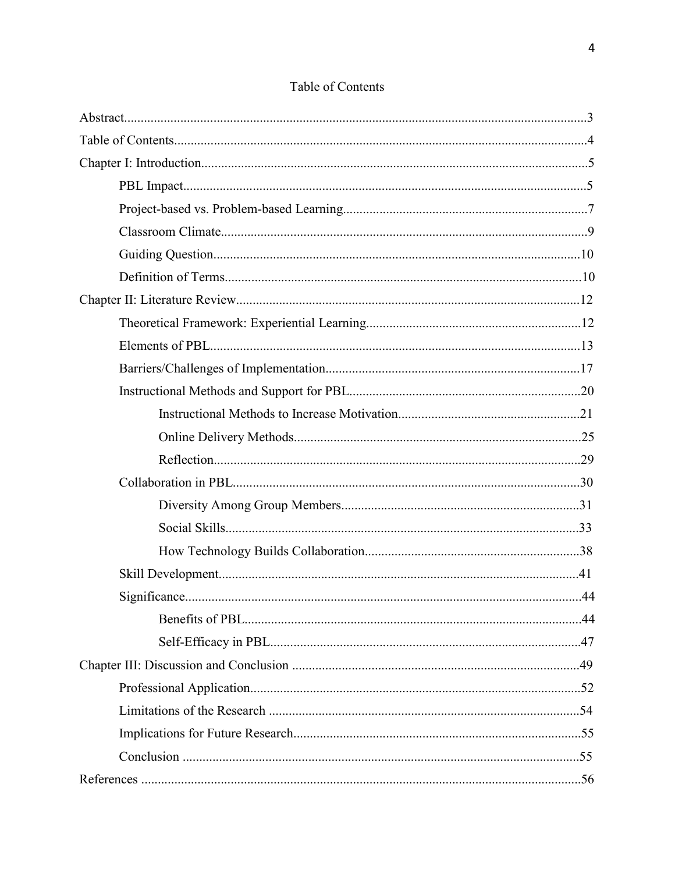### Table of Contents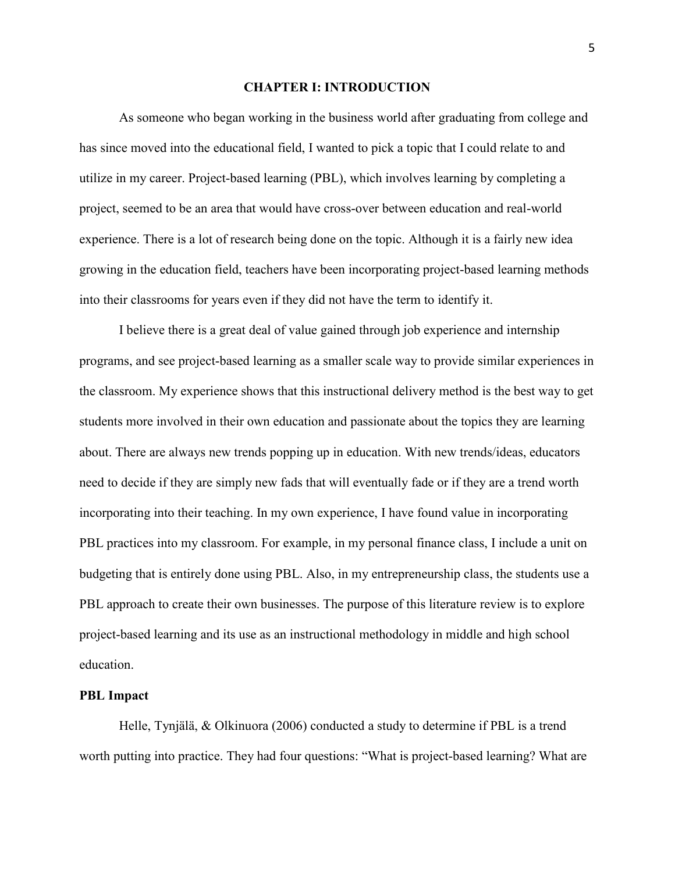#### **CHAPTER I: INTRODUCTION**

As someone who began working in the business world after graduating from college and has since moved into the educational field, I wanted to pick a topic that I could relate to and utilize in my career. Project-based learning (PBL), which involves learning by completing a project, seemed to be an area that would have cross-over between education and real-world experience. There is a lot of research being done on the topic. Although it is a fairly new idea growing in the education field, teachers have been incorporating project-based learning methods into their classrooms for years even if they did not have the term to identify it.

I believe there is a great deal of value gained through job experience and internship programs, and see project-based learning as a smaller scale way to provide similar experiences in the classroom. My experience shows that this instructional delivery method is the best way to get students more involved in their own education and passionate about the topics they are learning about. There are always new trends popping up in education. With new trends/ideas, educators need to decide if they are simply new fads that will eventually fade or if they are a trend worth incorporating into their teaching. In my own experience, I have found value in incorporating PBL practices into my classroom. For example, in my personal finance class, I include a unit on budgeting that is entirely done using PBL. Also, in my entrepreneurship class, the students use a PBL approach to create their own businesses. The purpose of this literature review is to explore project-based learning and its use as an instructional methodology in middle and high school education.

#### **PBL Impact**

 Helle, Tynjälä, & Olkinuora (2006) conducted a study to determine if PBL is a trend worth putting into practice. They had four questions: "What is project-based learning? What are

5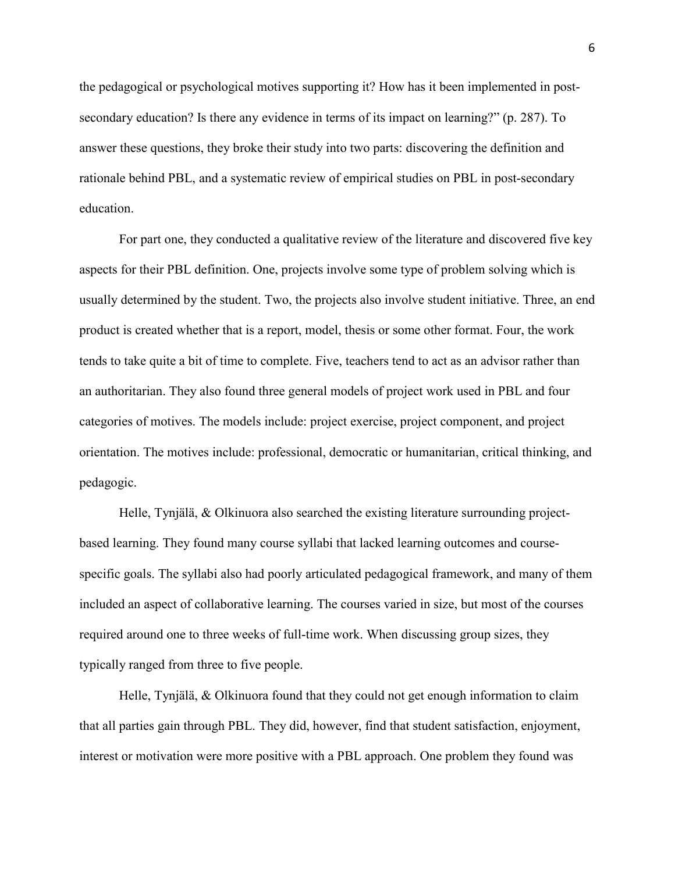the pedagogical or psychological motives supporting it? How has it been implemented in postsecondary education? Is there any evidence in terms of its impact on learning?" (p. 287). To answer these questions, they broke their study into two parts: discovering the definition and rationale behind PBL, and a systematic review of empirical studies on PBL in post-secondary education.

 For part one, they conducted a qualitative review of the literature and discovered five key aspects for their PBL definition. One, projects involve some type of problem solving which is usually determined by the student. Two, the projects also involve student initiative. Three, an end product is created whether that is a report, model, thesis or some other format. Four, the work tends to take quite a bit of time to complete. Five, teachers tend to act as an advisor rather than an authoritarian. They also found three general models of project work used in PBL and four categories of motives. The models include: project exercise, project component, and project orientation. The motives include: professional, democratic or humanitarian, critical thinking, and pedagogic.

 Helle, Tynjälä, & Olkinuora also searched the existing literature surrounding projectbased learning. They found many course syllabi that lacked learning outcomes and coursespecific goals. The syllabi also had poorly articulated pedagogical framework, and many of them included an aspect of collaborative learning. The courses varied in size, but most of the courses required around one to three weeks of full-time work. When discussing group sizes, they typically ranged from three to five people.

 Helle, Tynjälä, & Olkinuora found that they could not get enough information to claim that all parties gain through PBL. They did, however, find that student satisfaction, enjoyment, interest or motivation were more positive with a PBL approach. One problem they found was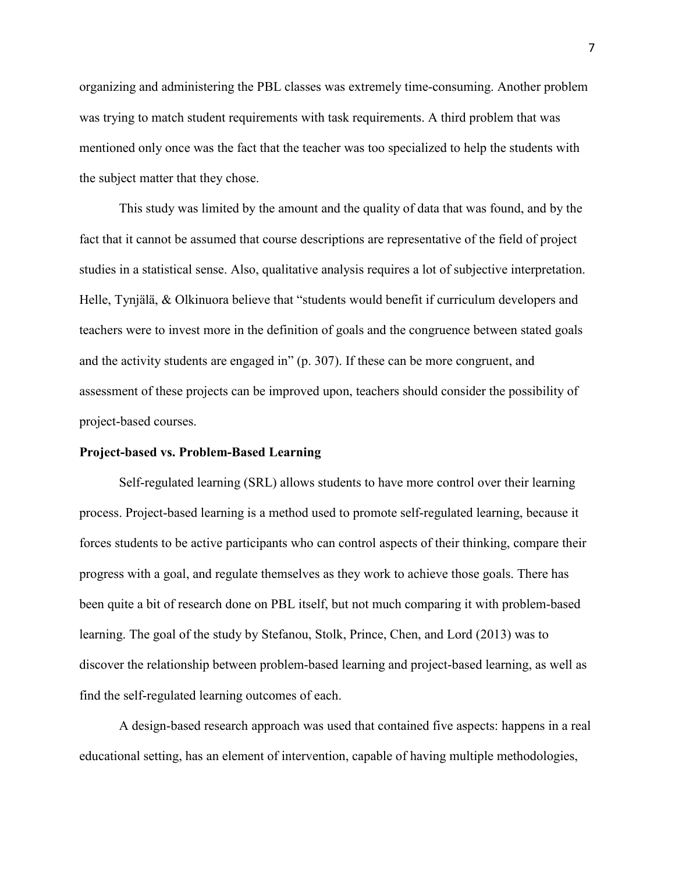organizing and administering the PBL classes was extremely time-consuming. Another problem was trying to match student requirements with task requirements. A third problem that was mentioned only once was the fact that the teacher was too specialized to help the students with the subject matter that they chose.

This study was limited by the amount and the quality of data that was found, and by the fact that it cannot be assumed that course descriptions are representative of the field of project studies in a statistical sense. Also, qualitative analysis requires a lot of subjective interpretation. Helle, Tynjälä, & Olkinuora believe that "students would benefit if curriculum developers and teachers were to invest more in the definition of goals and the congruence between stated goals and the activity students are engaged in" (p. 307). If these can be more congruent, and assessment of these projects can be improved upon, teachers should consider the possibility of project-based courses.

#### **Project-based vs. Problem-Based Learning**

Self-regulated learning (SRL) allows students to have more control over their learning process. Project-based learning is a method used to promote self-regulated learning, because it forces students to be active participants who can control aspects of their thinking, compare their progress with a goal, and regulate themselves as they work to achieve those goals. There has been quite a bit of research done on PBL itself, but not much comparing it with problem-based learning. The goal of the study by Stefanou, Stolk, Prince, Chen, and Lord (2013) was to discover the relationship between problem-based learning and project-based learning, as well as find the self-regulated learning outcomes of each.

A design-based research approach was used that contained five aspects: happens in a real educational setting, has an element of intervention, capable of having multiple methodologies,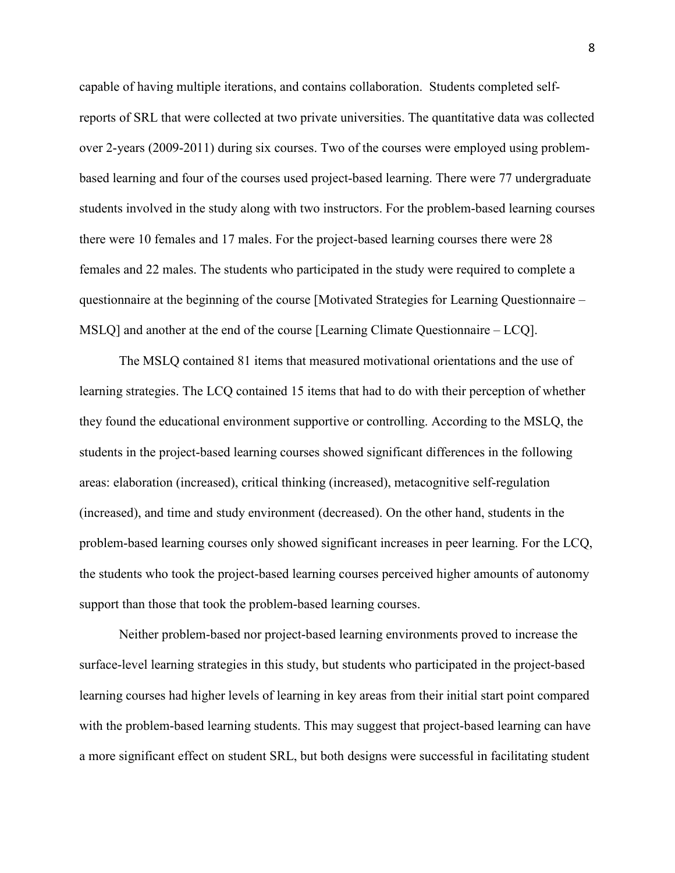capable of having multiple iterations, and contains collaboration. Students completed selfreports of SRL that were collected at two private universities. The quantitative data was collected over 2-years (2009-2011) during six courses. Two of the courses were employed using problembased learning and four of the courses used project-based learning. There were 77 undergraduate students involved in the study along with two instructors. For the problem-based learning courses there were 10 females and 17 males. For the project-based learning courses there were 28 females and 22 males. The students who participated in the study were required to complete a questionnaire at the beginning of the course [Motivated Strategies for Learning Questionnaire – MSLQ] and another at the end of the course [Learning Climate Questionnaire – LCQ].

The MSLQ contained 81 items that measured motivational orientations and the use of learning strategies. The LCQ contained 15 items that had to do with their perception of whether they found the educational environment supportive or controlling. According to the MSLQ, the students in the project-based learning courses showed significant differences in the following areas: elaboration (increased), critical thinking (increased), metacognitive self-regulation (increased), and time and study environment (decreased). On the other hand, students in the problem-based learning courses only showed significant increases in peer learning. For the LCQ, the students who took the project-based learning courses perceived higher amounts of autonomy support than those that took the problem-based learning courses.

Neither problem-based nor project-based learning environments proved to increase the surface-level learning strategies in this study, but students who participated in the project-based learning courses had higher levels of learning in key areas from their initial start point compared with the problem-based learning students. This may suggest that project-based learning can have a more significant effect on student SRL, but both designs were successful in facilitating student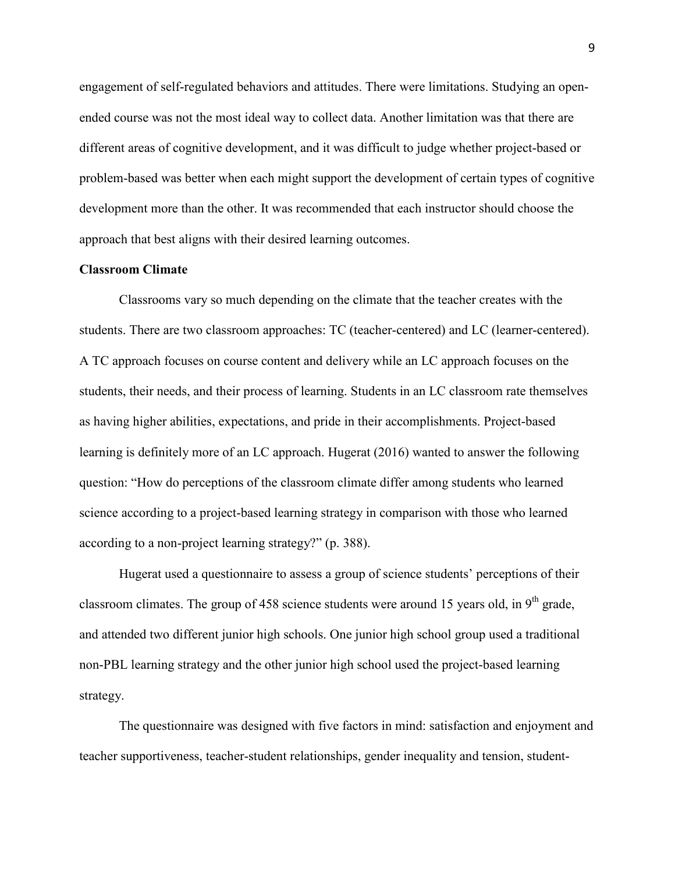engagement of self-regulated behaviors and attitudes. There were limitations. Studying an openended course was not the most ideal way to collect data. Another limitation was that there are different areas of cognitive development, and it was difficult to judge whether project-based or problem-based was better when each might support the development of certain types of cognitive development more than the other. It was recommended that each instructor should choose the approach that best aligns with their desired learning outcomes.

#### **Classroom Climate**

Classrooms vary so much depending on the climate that the teacher creates with the students. There are two classroom approaches: TC (teacher-centered) and LC (learner-centered). A TC approach focuses on course content and delivery while an LC approach focuses on the students, their needs, and their process of learning. Students in an LC classroom rate themselves as having higher abilities, expectations, and pride in their accomplishments. Project-based learning is definitely more of an LC approach. Hugerat (2016) wanted to answer the following question: "How do perceptions of the classroom climate differ among students who learned science according to a project-based learning strategy in comparison with those who learned according to a non-project learning strategy?" (p. 388).

Hugerat used a questionnaire to assess a group of science students' perceptions of their classroom climates. The group of 458 science students were around 15 years old, in  $9<sup>th</sup>$  grade, and attended two different junior high schools. One junior high school group used a traditional non-PBL learning strategy and the other junior high school used the project-based learning strategy.

 The questionnaire was designed with five factors in mind: satisfaction and enjoyment and teacher supportiveness, teacher-student relationships, gender inequality and tension, student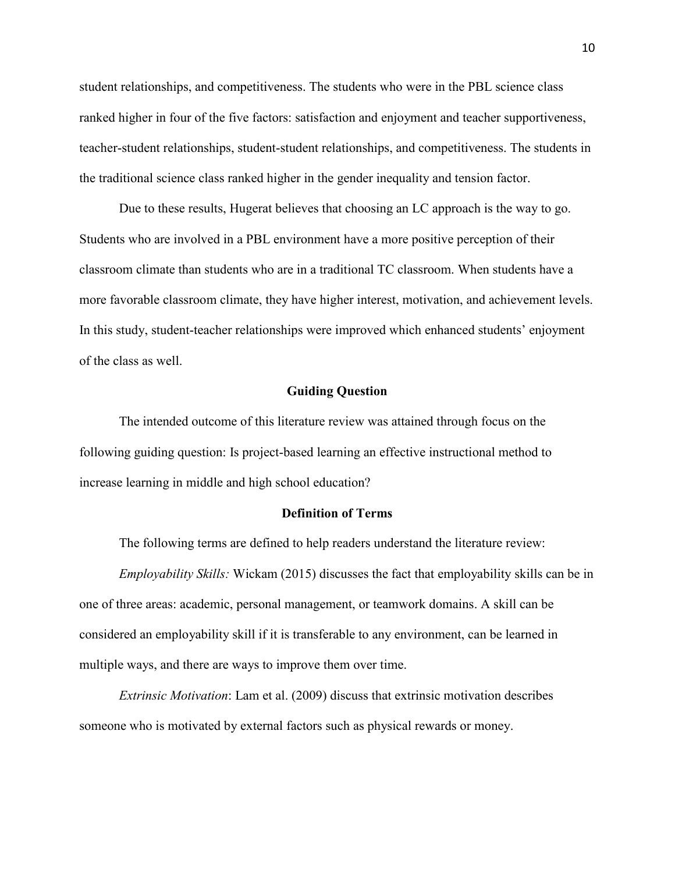student relationships, and competitiveness. The students who were in the PBL science class ranked higher in four of the five factors: satisfaction and enjoyment and teacher supportiveness, teacher-student relationships, student-student relationships, and competitiveness. The students in the traditional science class ranked higher in the gender inequality and tension factor.

Due to these results, Hugerat believes that choosing an LC approach is the way to go. Students who are involved in a PBL environment have a more positive perception of their classroom climate than students who are in a traditional TC classroom. When students have a more favorable classroom climate, they have higher interest, motivation, and achievement levels. In this study, student-teacher relationships were improved which enhanced students' enjoyment of the class as well.

#### **Guiding Question**

 The intended outcome of this literature review was attained through focus on the following guiding question: Is project-based learning an effective instructional method to increase learning in middle and high school education?

#### **Definition of Terms**

The following terms are defined to help readers understand the literature review:

*Employability Skills:* Wickam (2015) discusses the fact that employability skills can be in one of three areas: academic, personal management, or teamwork domains. A skill can be considered an employability skill if it is transferable to any environment, can be learned in multiple ways, and there are ways to improve them over time.

*Extrinsic Motivation*: Lam et al. (2009) discuss that extrinsic motivation describes someone who is motivated by external factors such as physical rewards or money.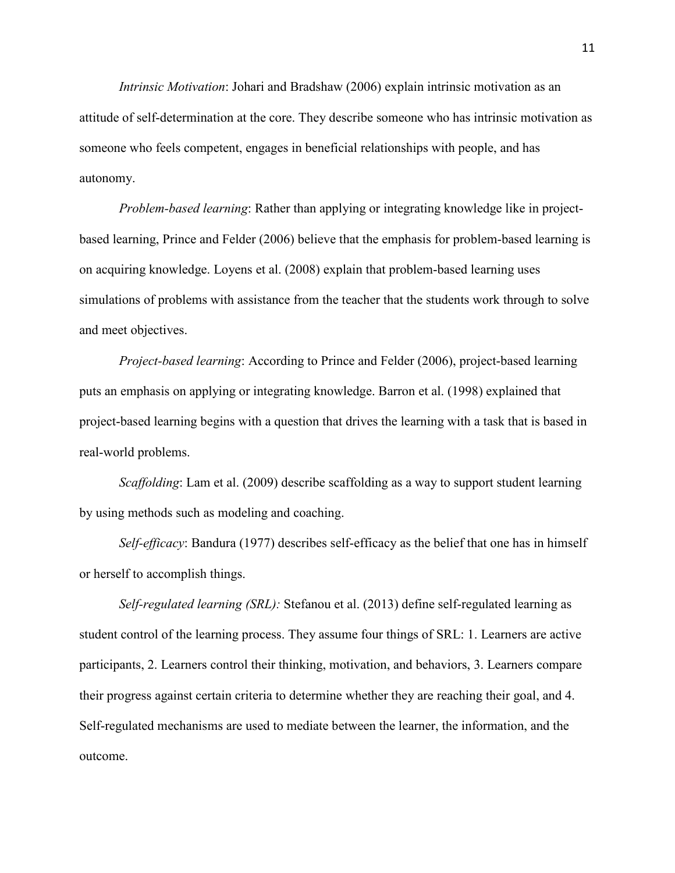*Intrinsic Motivation*: Johari and Bradshaw (2006) explain intrinsic motivation as an attitude of self-determination at the core. They describe someone who has intrinsic motivation as someone who feels competent, engages in beneficial relationships with people, and has autonomy.

 *Problem-based learning*: Rather than applying or integrating knowledge like in projectbased learning, Prince and Felder (2006) believe that the emphasis for problem-based learning is on acquiring knowledge. Loyens et al. (2008) explain that problem-based learning uses simulations of problems with assistance from the teacher that the students work through to solve and meet objectives.

*Project-based learning*: According to Prince and Felder (2006), project-based learning puts an emphasis on applying or integrating knowledge. Barron et al. (1998) explained that project-based learning begins with a question that drives the learning with a task that is based in real-world problems.

 *Scaffolding*: Lam et al. (2009) describe scaffolding as a way to support student learning by using methods such as modeling and coaching.

*Self-efficacy*: Bandura (1977) describes self-efficacy as the belief that one has in himself or herself to accomplish things.

*Self-regulated learning (SRL):* Stefanou et al. (2013) define self-regulated learning as student control of the learning process. They assume four things of SRL: 1. Learners are active participants, 2. Learners control their thinking, motivation, and behaviors, 3. Learners compare their progress against certain criteria to determine whether they are reaching their goal, and 4. Self-regulated mechanisms are used to mediate between the learner, the information, and the outcome.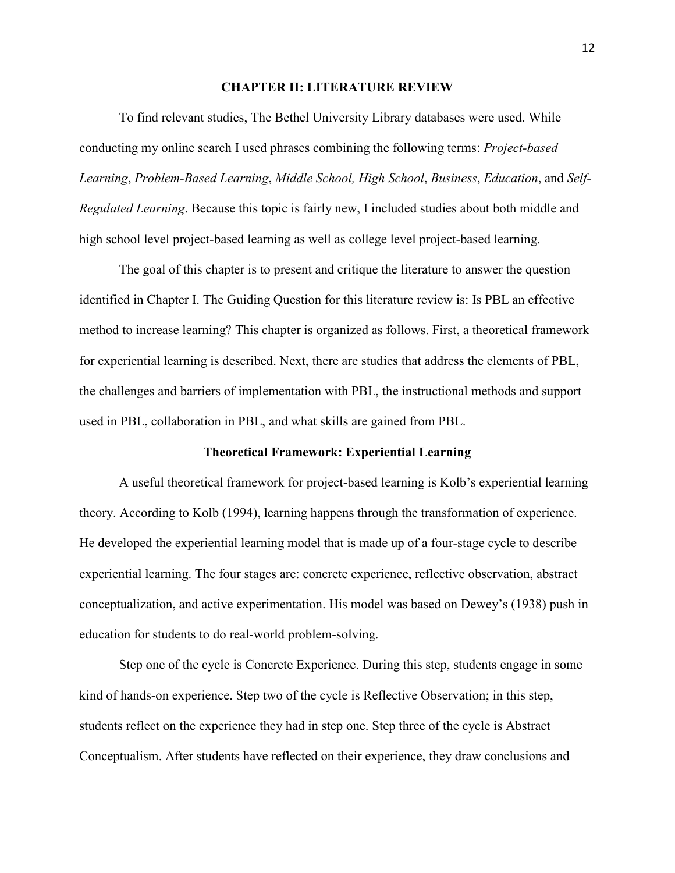#### **CHAPTER II: LITERATURE REVIEW**

 To find relevant studies, The Bethel University Library databases were used. While conducting my online search I used phrases combining the following terms: *Project-based Learning*, *Problem-Based Learning*, *Middle School, High School*, *Business*, *Education*, and *Self-Regulated Learning*. Because this topic is fairly new, I included studies about both middle and high school level project-based learning as well as college level project-based learning.

The goal of this chapter is to present and critique the literature to answer the question identified in Chapter I. The Guiding Question for this literature review is: Is PBL an effective method to increase learning? This chapter is organized as follows. First, a theoretical framework for experiential learning is described. Next, there are studies that address the elements of PBL, the challenges and barriers of implementation with PBL, the instructional methods and support used in PBL, collaboration in PBL, and what skills are gained from PBL.

#### **Theoretical Framework: Experiential Learning**

A useful theoretical framework for project-based learning is Kolb's experiential learning theory. According to Kolb (1994), learning happens through the transformation of experience. He developed the experiential learning model that is made up of a four-stage cycle to describe experiential learning. The four stages are: concrete experience, reflective observation, abstract conceptualization, and active experimentation. His model was based on Dewey's (1938) push in education for students to do real-world problem-solving.

 Step one of the cycle is Concrete Experience. During this step, students engage in some kind of hands-on experience. Step two of the cycle is Reflective Observation; in this step, students reflect on the experience they had in step one. Step three of the cycle is Abstract Conceptualism. After students have reflected on their experience, they draw conclusions and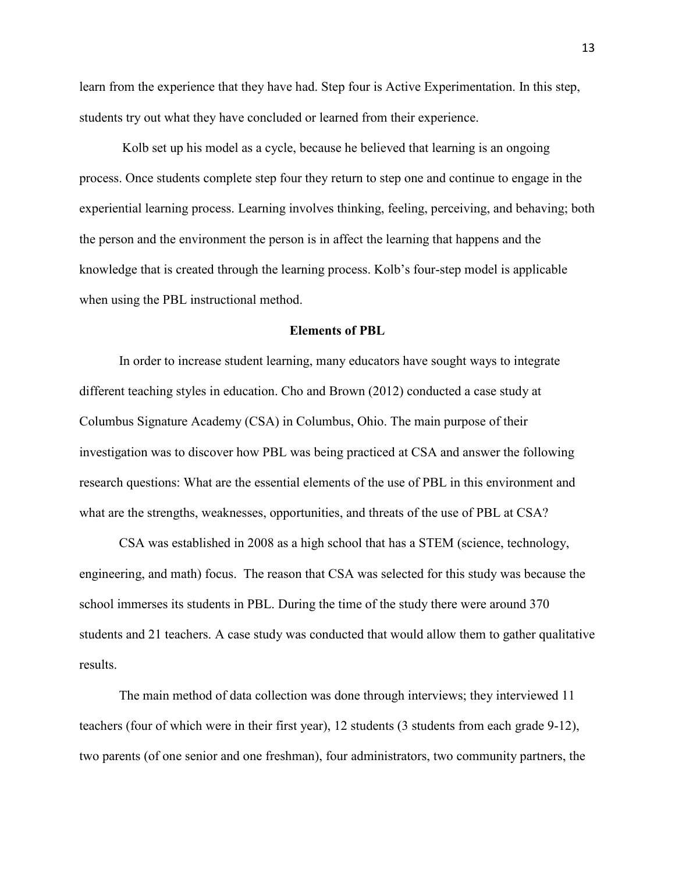learn from the experience that they have had. Step four is Active Experimentation. In this step, students try out what they have concluded or learned from their experience.

 Kolb set up his model as a cycle, because he believed that learning is an ongoing process. Once students complete step four they return to step one and continue to engage in the experiential learning process. Learning involves thinking, feeling, perceiving, and behaving; both the person and the environment the person is in affect the learning that happens and the knowledge that is created through the learning process. Kolb's four-step model is applicable when using the PBL instructional method.

#### **Elements of PBL**

In order to increase student learning, many educators have sought ways to integrate different teaching styles in education. Cho and Brown (2012) conducted a case study at Columbus Signature Academy (CSA) in Columbus, Ohio. The main purpose of their investigation was to discover how PBL was being practiced at CSA and answer the following research questions: What are the essential elements of the use of PBL in this environment and what are the strengths, weaknesses, opportunities, and threats of the use of PBL at CSA?

CSA was established in 2008 as a high school that has a STEM (science, technology, engineering, and math) focus. The reason that CSA was selected for this study was because the school immerses its students in PBL. During the time of the study there were around 370 students and 21 teachers. A case study was conducted that would allow them to gather qualitative results.

The main method of data collection was done through interviews; they interviewed 11 teachers (four of which were in their first year), 12 students (3 students from each grade 9-12), two parents (of one senior and one freshman), four administrators, two community partners, the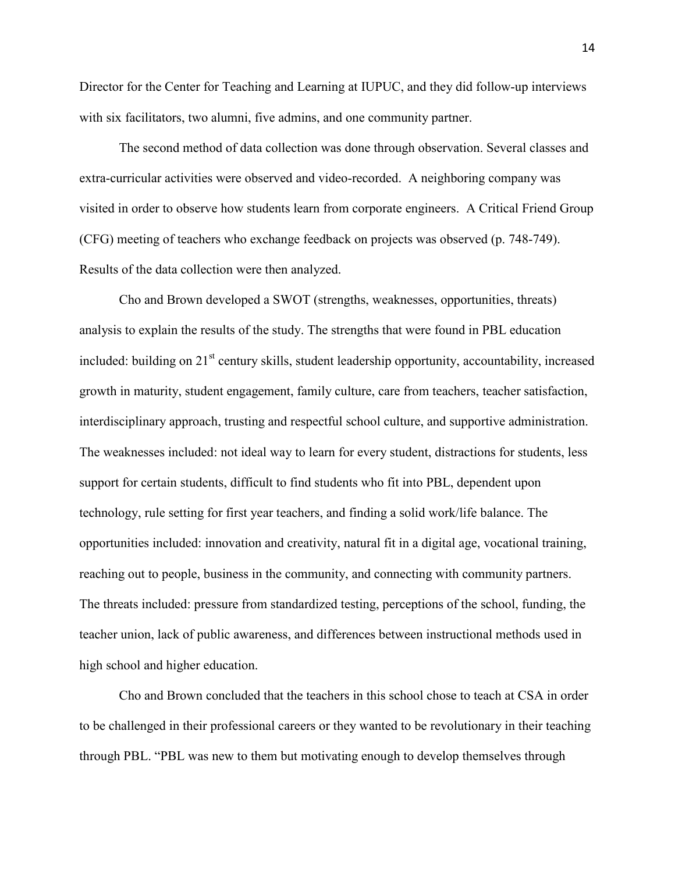Director for the Center for Teaching and Learning at IUPUC, and they did follow-up interviews with six facilitators, two alumni, five admins, and one community partner.

The second method of data collection was done through observation. Several classes and extra-curricular activities were observed and video-recorded. A neighboring company was visited in order to observe how students learn from corporate engineers. A Critical Friend Group (CFG) meeting of teachers who exchange feedback on projects was observed (p. 748-749). Results of the data collection were then analyzed.

Cho and Brown developed a SWOT (strengths, weaknesses, opportunities, threats) analysis to explain the results of the study. The strengths that were found in PBL education included: building on 21<sup>st</sup> century skills, student leadership opportunity, accountability, increased growth in maturity, student engagement, family culture, care from teachers, teacher satisfaction, interdisciplinary approach, trusting and respectful school culture, and supportive administration. The weaknesses included: not ideal way to learn for every student, distractions for students, less support for certain students, difficult to find students who fit into PBL, dependent upon technology, rule setting for first year teachers, and finding a solid work/life balance. The opportunities included: innovation and creativity, natural fit in a digital age, vocational training, reaching out to people, business in the community, and connecting with community partners. The threats included: pressure from standardized testing, perceptions of the school, funding, the teacher union, lack of public awareness, and differences between instructional methods used in high school and higher education.

Cho and Brown concluded that the teachers in this school chose to teach at CSA in order to be challenged in their professional careers or they wanted to be revolutionary in their teaching through PBL. "PBL was new to them but motivating enough to develop themselves through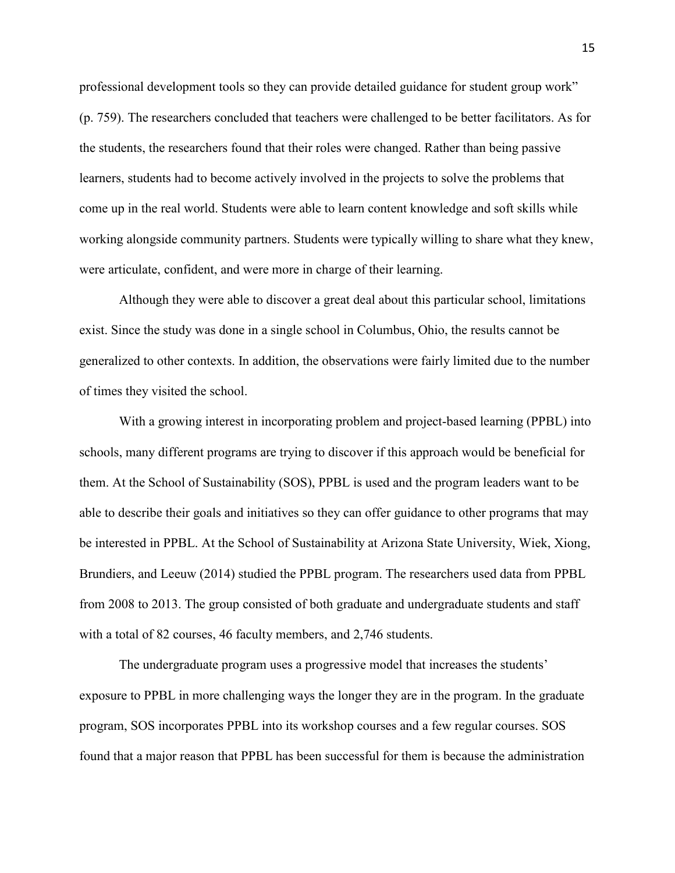professional development tools so they can provide detailed guidance for student group work" (p. 759). The researchers concluded that teachers were challenged to be better facilitators. As for the students, the researchers found that their roles were changed. Rather than being passive learners, students had to become actively involved in the projects to solve the problems that come up in the real world. Students were able to learn content knowledge and soft skills while working alongside community partners. Students were typically willing to share what they knew, were articulate, confident, and were more in charge of their learning.

Although they were able to discover a great deal about this particular school, limitations exist. Since the study was done in a single school in Columbus, Ohio, the results cannot be generalized to other contexts. In addition, the observations were fairly limited due to the number of times they visited the school.

With a growing interest in incorporating problem and project-based learning (PPBL) into schools, many different programs are trying to discover if this approach would be beneficial for them. At the School of Sustainability (SOS), PPBL is used and the program leaders want to be able to describe their goals and initiatives so they can offer guidance to other programs that may be interested in PPBL. At the School of Sustainability at Arizona State University, Wiek, Xiong, Brundiers, and Leeuw (2014) studied the PPBL program. The researchers used data from PPBL from 2008 to 2013. The group consisted of both graduate and undergraduate students and staff with a total of 82 courses, 46 faculty members, and 2,746 students.

The undergraduate program uses a progressive model that increases the students' exposure to PPBL in more challenging ways the longer they are in the program. In the graduate program, SOS incorporates PPBL into its workshop courses and a few regular courses. SOS found that a major reason that PPBL has been successful for them is because the administration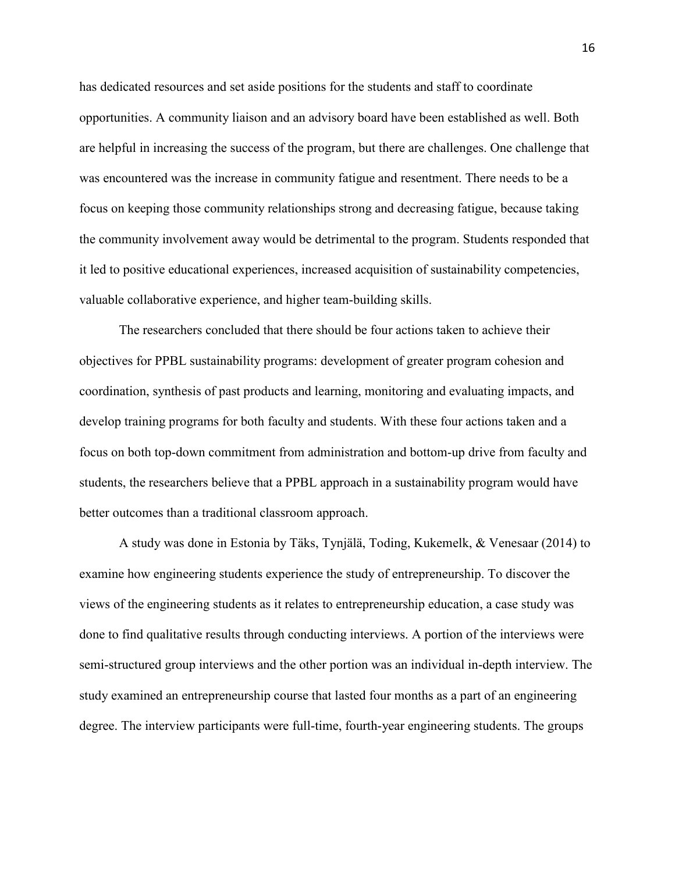has dedicated resources and set aside positions for the students and staff to coordinate opportunities. A community liaison and an advisory board have been established as well. Both are helpful in increasing the success of the program, but there are challenges. One challenge that was encountered was the increase in community fatigue and resentment. There needs to be a focus on keeping those community relationships strong and decreasing fatigue, because taking the community involvement away would be detrimental to the program. Students responded that it led to positive educational experiences, increased acquisition of sustainability competencies, valuable collaborative experience, and higher team-building skills.

The researchers concluded that there should be four actions taken to achieve their objectives for PPBL sustainability programs: development of greater program cohesion and coordination, synthesis of past products and learning, monitoring and evaluating impacts, and develop training programs for both faculty and students. With these four actions taken and a focus on both top-down commitment from administration and bottom-up drive from faculty and students, the researchers believe that a PPBL approach in a sustainability program would have better outcomes than a traditional classroom approach.

A study was done in Estonia by Täks, Tynjälä, Toding, Kukemelk, & Venesaar (2014) to examine how engineering students experience the study of entrepreneurship. To discover the views of the engineering students as it relates to entrepreneurship education, a case study was done to find qualitative results through conducting interviews. A portion of the interviews were semi-structured group interviews and the other portion was an individual in-depth interview. The study examined an entrepreneurship course that lasted four months as a part of an engineering degree. The interview participants were full-time, fourth-year engineering students. The groups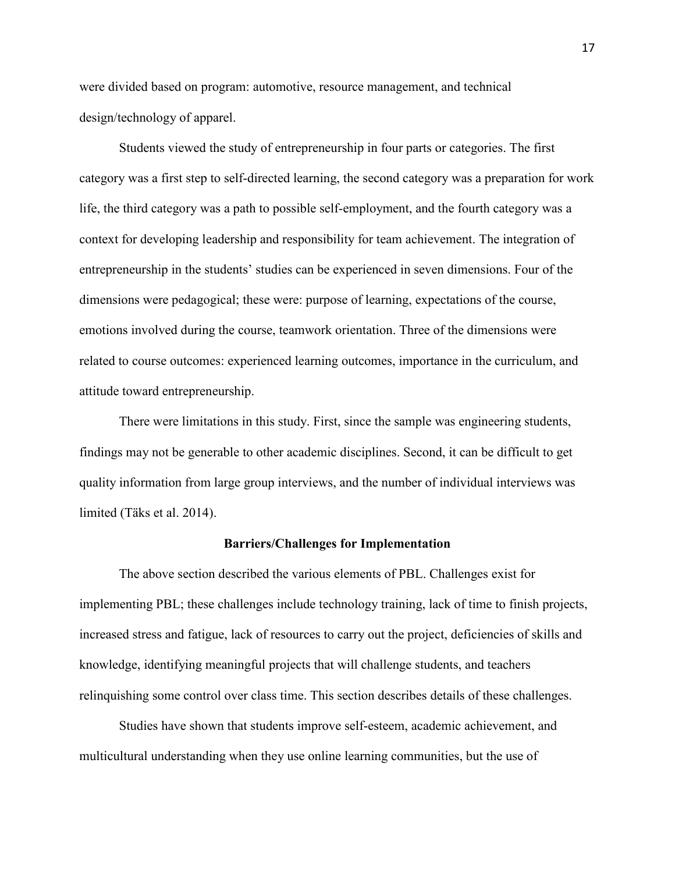were divided based on program: automotive, resource management, and technical design/technology of apparel.

Students viewed the study of entrepreneurship in four parts or categories. The first category was a first step to self-directed learning, the second category was a preparation for work life, the third category was a path to possible self-employment, and the fourth category was a context for developing leadership and responsibility for team achievement. The integration of entrepreneurship in the students' studies can be experienced in seven dimensions. Four of the dimensions were pedagogical; these were: purpose of learning, expectations of the course, emotions involved during the course, teamwork orientation. Three of the dimensions were related to course outcomes: experienced learning outcomes, importance in the curriculum, and attitude toward entrepreneurship.

There were limitations in this study. First, since the sample was engineering students, findings may not be generable to other academic disciplines. Second, it can be difficult to get quality information from large group interviews, and the number of individual interviews was limited (Täks et al. 2014).

#### **Barriers/Challenges for Implementation**

The above section described the various elements of PBL. Challenges exist for implementing PBL; these challenges include technology training, lack of time to finish projects, increased stress and fatigue, lack of resources to carry out the project, deficiencies of skills and knowledge, identifying meaningful projects that will challenge students, and teachers relinquishing some control over class time. This section describes details of these challenges.

Studies have shown that students improve self-esteem, academic achievement, and multicultural understanding when they use online learning communities, but the use of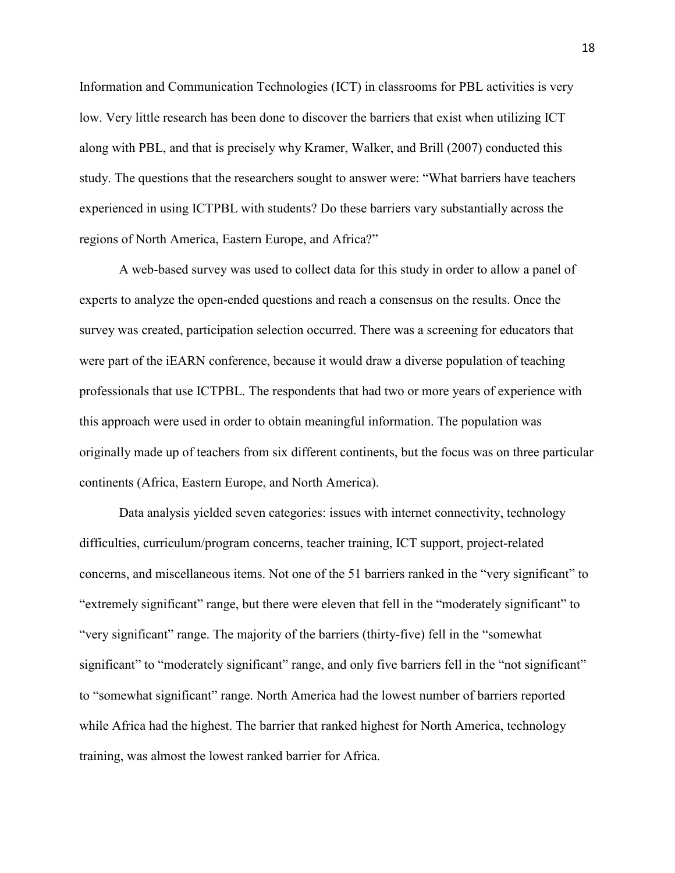Information and Communication Technologies (ICT) in classrooms for PBL activities is very low. Very little research has been done to discover the barriers that exist when utilizing ICT along with PBL, and that is precisely why Kramer, Walker, and Brill (2007) conducted this study. The questions that the researchers sought to answer were: "What barriers have teachers experienced in using ICTPBL with students? Do these barriers vary substantially across the regions of North America, Eastern Europe, and Africa?"

A web-based survey was used to collect data for this study in order to allow a panel of experts to analyze the open-ended questions and reach a consensus on the results. Once the survey was created, participation selection occurred. There was a screening for educators that were part of the iEARN conference, because it would draw a diverse population of teaching professionals that use ICTPBL. The respondents that had two or more years of experience with this approach were used in order to obtain meaningful information. The population was originally made up of teachers from six different continents, but the focus was on three particular continents (Africa, Eastern Europe, and North America).

Data analysis yielded seven categories: issues with internet connectivity, technology difficulties, curriculum/program concerns, teacher training, ICT support, project-related concerns, and miscellaneous items. Not one of the 51 barriers ranked in the "very significant" to "extremely significant" range, but there were eleven that fell in the "moderately significant" to "very significant" range. The majority of the barriers (thirty-five) fell in the "somewhat significant" to "moderately significant" range, and only five barriers fell in the "not significant" to "somewhat significant" range. North America had the lowest number of barriers reported while Africa had the highest. The barrier that ranked highest for North America, technology training, was almost the lowest ranked barrier for Africa.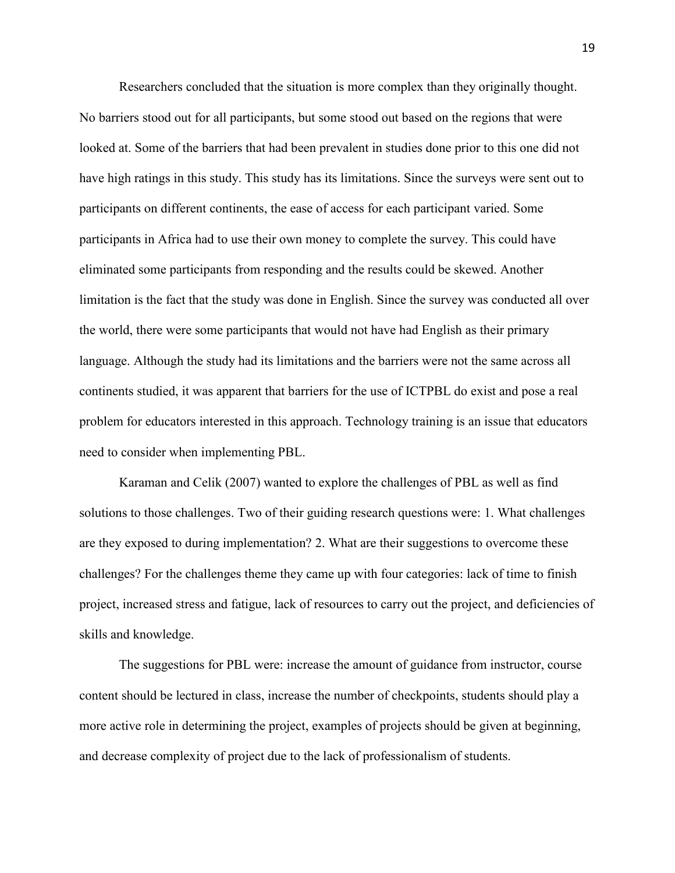Researchers concluded that the situation is more complex than they originally thought. No barriers stood out for all participants, but some stood out based on the regions that were looked at. Some of the barriers that had been prevalent in studies done prior to this one did not have high ratings in this study. This study has its limitations. Since the surveys were sent out to participants on different continents, the ease of access for each participant varied. Some participants in Africa had to use their own money to complete the survey. This could have eliminated some participants from responding and the results could be skewed. Another limitation is the fact that the study was done in English. Since the survey was conducted all over the world, there were some participants that would not have had English as their primary language. Although the study had its limitations and the barriers were not the same across all continents studied, it was apparent that barriers for the use of ICTPBL do exist and pose a real problem for educators interested in this approach. Technology training is an issue that educators need to consider when implementing PBL.

Karaman and Celik (2007) wanted to explore the challenges of PBL as well as find solutions to those challenges. Two of their guiding research questions were: 1. What challenges are they exposed to during implementation? 2. What are their suggestions to overcome these challenges? For the challenges theme they came up with four categories: lack of time to finish project, increased stress and fatigue, lack of resources to carry out the project, and deficiencies of skills and knowledge.

 The suggestions for PBL were: increase the amount of guidance from instructor, course content should be lectured in class, increase the number of checkpoints, students should play a more active role in determining the project, examples of projects should be given at beginning, and decrease complexity of project due to the lack of professionalism of students.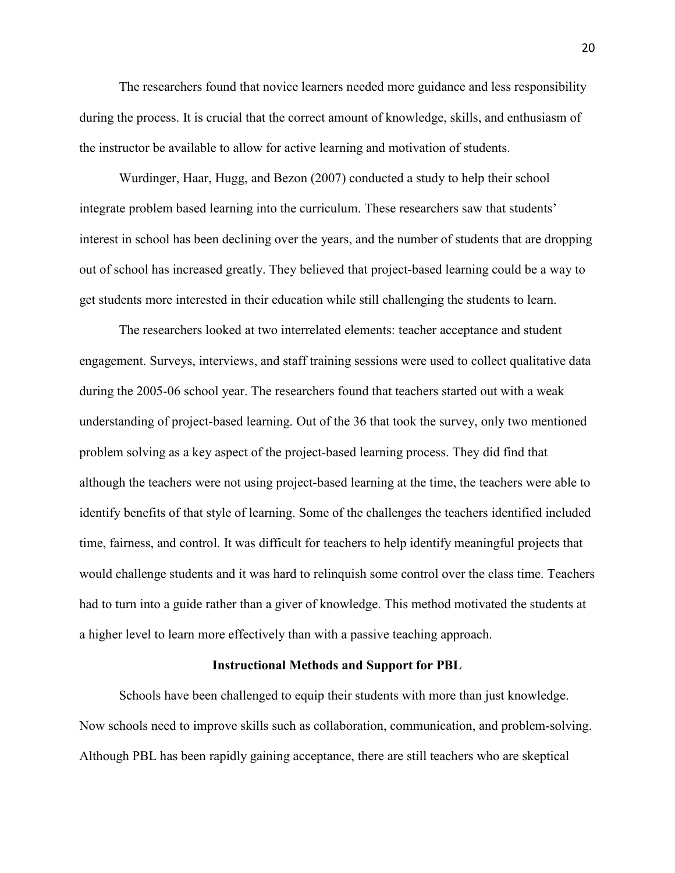The researchers found that novice learners needed more guidance and less responsibility during the process. It is crucial that the correct amount of knowledge, skills, and enthusiasm of the instructor be available to allow for active learning and motivation of students.

Wurdinger, Haar, Hugg, and Bezon (2007) conducted a study to help their school integrate problem based learning into the curriculum. These researchers saw that students' interest in school has been declining over the years, and the number of students that are dropping out of school has increased greatly. They believed that project-based learning could be a way to get students more interested in their education while still challenging the students to learn.

The researchers looked at two interrelated elements: teacher acceptance and student engagement. Surveys, interviews, and staff training sessions were used to collect qualitative data during the 2005-06 school year. The researchers found that teachers started out with a weak understanding of project-based learning. Out of the 36 that took the survey, only two mentioned problem solving as a key aspect of the project-based learning process. They did find that although the teachers were not using project-based learning at the time, the teachers were able to identify benefits of that style of learning. Some of the challenges the teachers identified included time, fairness, and control. It was difficult for teachers to help identify meaningful projects that would challenge students and it was hard to relinquish some control over the class time. Teachers had to turn into a guide rather than a giver of knowledge. This method motivated the students at a higher level to learn more effectively than with a passive teaching approach.

#### **Instructional Methods and Support for PBL**

 Schools have been challenged to equip their students with more than just knowledge. Now schools need to improve skills such as collaboration, communication, and problem-solving. Although PBL has been rapidly gaining acceptance, there are still teachers who are skeptical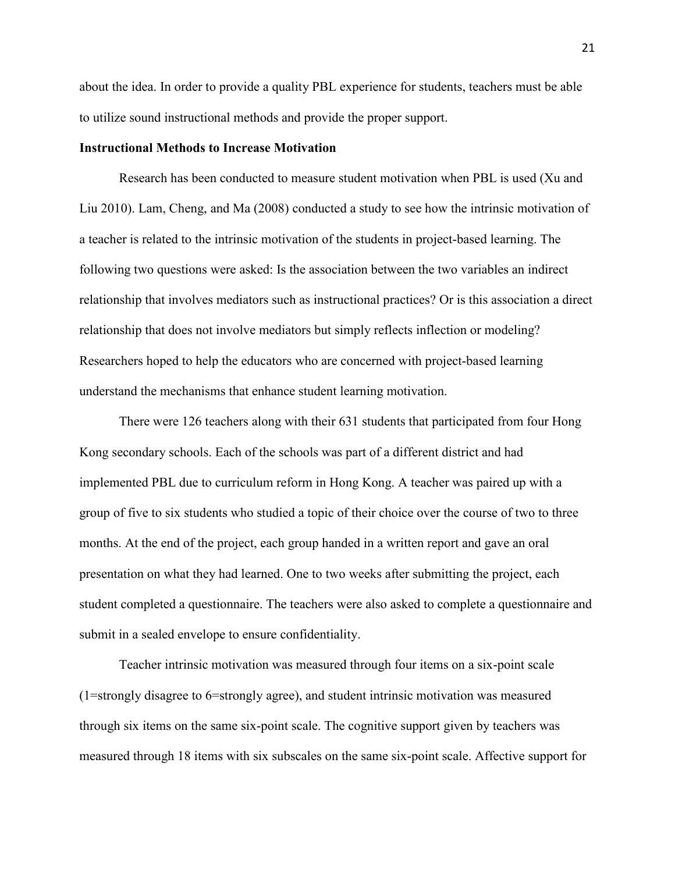about the idea. In order to provide a quality PBL experience for students, teachers must be able to utilize sound instructional methods and provide the proper support.

#### **Instructional Methods to Increase Motivation**

Research has been conducted to measure student motivation when PBL is used (Xu and Liu 2010). Lam, Cheng, and Ma (2008) conducted a study to see how the intrinsic motivation of a teacher is related to the intrinsic motivation of the students in project-based learning. The following two questions were asked: Is the association between the two variables an indirect relationship that involves mediators such as instructional practices? Or is this association a direct relationship that does not involve mediators but simply reflects inflection or modeling? Researchers hoped to help the educators who are concerned with project-based learning understand the mechanisms that enhance student learning motivation.

There were 126 teachers along with their 631 students that participated from four Hong Kong secondary schools. Each of the schools was part of a different district and had implemented PBL due to curriculum reform in Hong Kong. A teacher was paired up with a group of five to six students who studied a topic of their choice over the course of two to three months. At the end of the project, each group handed in a written report and gave an oral presentation on what they had learned. One to two weeks after submitting the project, each student completed a questionnaire. The teachers were also asked to complete a questionnaire and submit in a sealed envelope to ensure confidentiality.

Teacher intrinsic motivation was measured through four items on a six-point scale (1=strongly disagree to 6=strongly agree), and student intrinsic motivation was measured through six items on the same six-point scale. The cognitive support given by teachers was measured through 18 items with six subscales on the same six-point scale. Affective support for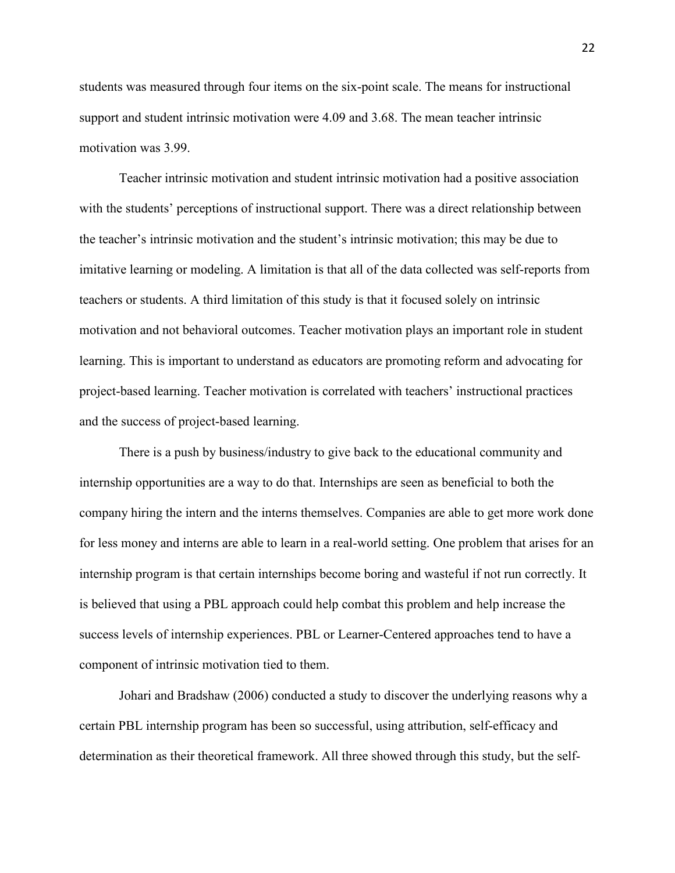students was measured through four items on the six-point scale. The means for instructional support and student intrinsic motivation were 4.09 and 3.68. The mean teacher intrinsic motivation was 3.99.

 Teacher intrinsic motivation and student intrinsic motivation had a positive association with the students' perceptions of instructional support. There was a direct relationship between the teacher's intrinsic motivation and the student's intrinsic motivation; this may be due to imitative learning or modeling. A limitation is that all of the data collected was self-reports from teachers or students. A third limitation of this study is that it focused solely on intrinsic motivation and not behavioral outcomes. Teacher motivation plays an important role in student learning. This is important to understand as educators are promoting reform and advocating for project-based learning. Teacher motivation is correlated with teachers' instructional practices and the success of project-based learning.

There is a push by business/industry to give back to the educational community and internship opportunities are a way to do that. Internships are seen as beneficial to both the company hiring the intern and the interns themselves. Companies are able to get more work done for less money and interns are able to learn in a real-world setting. One problem that arises for an internship program is that certain internships become boring and wasteful if not run correctly. It is believed that using a PBL approach could help combat this problem and help increase the success levels of internship experiences. PBL or Learner-Centered approaches tend to have a component of intrinsic motivation tied to them.

Johari and Bradshaw (2006) conducted a study to discover the underlying reasons why a certain PBL internship program has been so successful, using attribution, self-efficacy and determination as their theoretical framework. All three showed through this study, but the self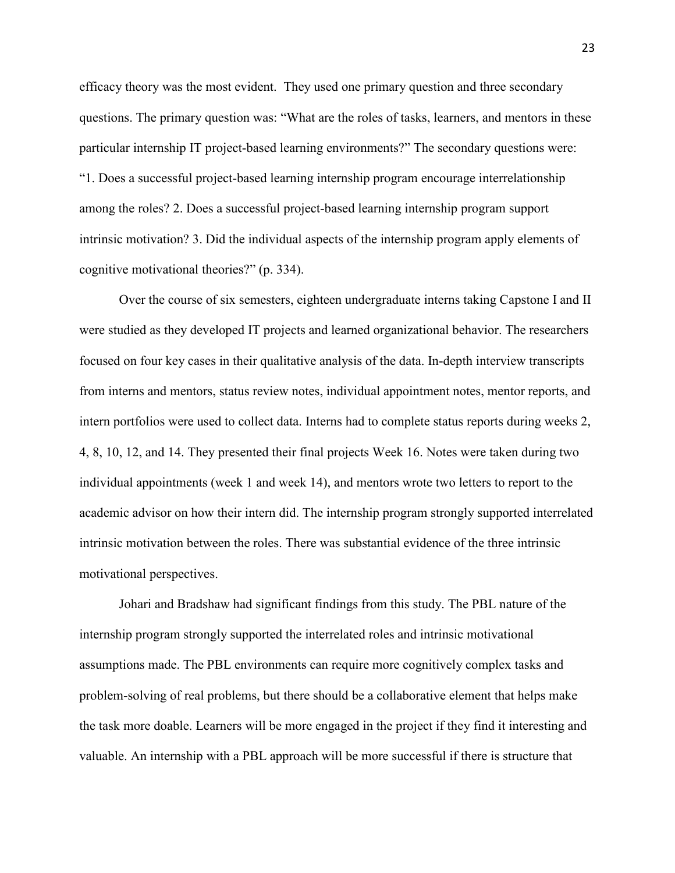efficacy theory was the most evident. They used one primary question and three secondary questions. The primary question was: "What are the roles of tasks, learners, and mentors in these particular internship IT project-based learning environments?" The secondary questions were: "1. Does a successful project-based learning internship program encourage interrelationship among the roles? 2. Does a successful project-based learning internship program support intrinsic motivation? 3. Did the individual aspects of the internship program apply elements of cognitive motivational theories?" (p. 334).

Over the course of six semesters, eighteen undergraduate interns taking Capstone I and II were studied as they developed IT projects and learned organizational behavior. The researchers focused on four key cases in their qualitative analysis of the data. In-depth interview transcripts from interns and mentors, status review notes, individual appointment notes, mentor reports, and intern portfolios were used to collect data. Interns had to complete status reports during weeks 2, 4, 8, 10, 12, and 14. They presented their final projects Week 16. Notes were taken during two individual appointments (week 1 and week 14), and mentors wrote two letters to report to the academic advisor on how their intern did. The internship program strongly supported interrelated intrinsic motivation between the roles. There was substantial evidence of the three intrinsic motivational perspectives.

Johari and Bradshaw had significant findings from this study. The PBL nature of the internship program strongly supported the interrelated roles and intrinsic motivational assumptions made. The PBL environments can require more cognitively complex tasks and problem-solving of real problems, but there should be a collaborative element that helps make the task more doable. Learners will be more engaged in the project if they find it interesting and valuable. An internship with a PBL approach will be more successful if there is structure that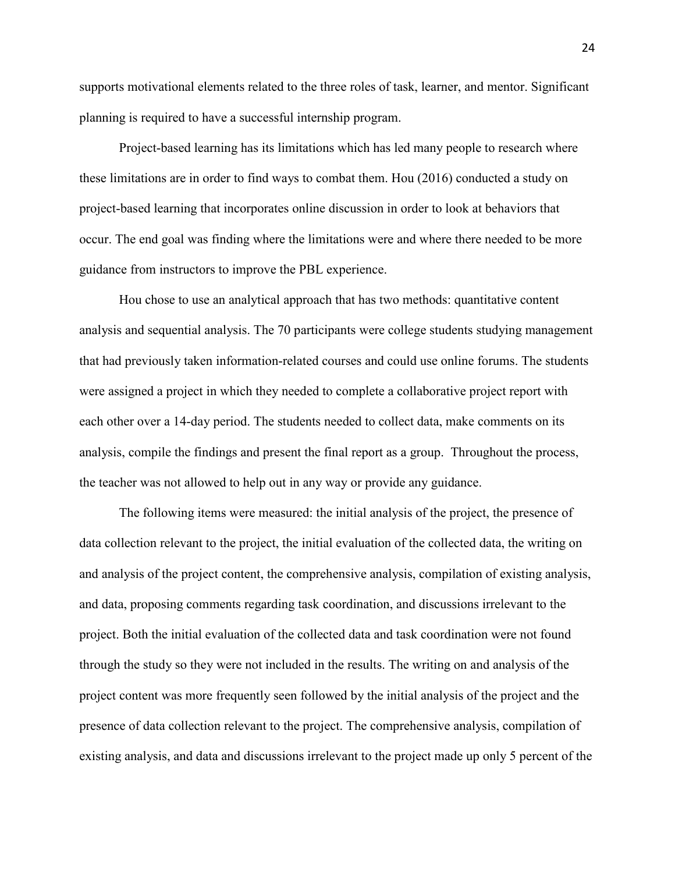supports motivational elements related to the three roles of task, learner, and mentor. Significant planning is required to have a successful internship program.

Project-based learning has its limitations which has led many people to research where these limitations are in order to find ways to combat them. Hou (2016) conducted a study on project-based learning that incorporates online discussion in order to look at behaviors that occur. The end goal was finding where the limitations were and where there needed to be more guidance from instructors to improve the PBL experience.

Hou chose to use an analytical approach that has two methods: quantitative content analysis and sequential analysis. The 70 participants were college students studying management that had previously taken information-related courses and could use online forums. The students were assigned a project in which they needed to complete a collaborative project report with each other over a 14-day period. The students needed to collect data, make comments on its analysis, compile the findings and present the final report as a group. Throughout the process, the teacher was not allowed to help out in any way or provide any guidance.

The following items were measured: the initial analysis of the project, the presence of data collection relevant to the project, the initial evaluation of the collected data, the writing on and analysis of the project content, the comprehensive analysis, compilation of existing analysis, and data, proposing comments regarding task coordination, and discussions irrelevant to the project. Both the initial evaluation of the collected data and task coordination were not found through the study so they were not included in the results. The writing on and analysis of the project content was more frequently seen followed by the initial analysis of the project and the presence of data collection relevant to the project. The comprehensive analysis, compilation of existing analysis, and data and discussions irrelevant to the project made up only 5 percent of the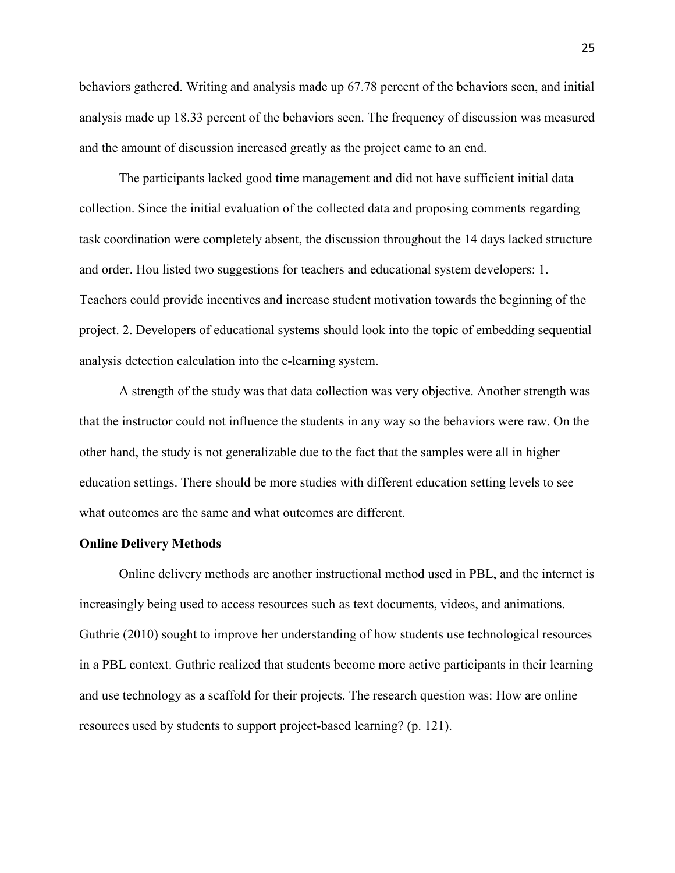behaviors gathered. Writing and analysis made up 67.78 percent of the behaviors seen, and initial analysis made up 18.33 percent of the behaviors seen. The frequency of discussion was measured and the amount of discussion increased greatly as the project came to an end.

The participants lacked good time management and did not have sufficient initial data collection. Since the initial evaluation of the collected data and proposing comments regarding task coordination were completely absent, the discussion throughout the 14 days lacked structure and order. Hou listed two suggestions for teachers and educational system developers: 1. Teachers could provide incentives and increase student motivation towards the beginning of the project. 2. Developers of educational systems should look into the topic of embedding sequential analysis detection calculation into the e-learning system.

A strength of the study was that data collection was very objective. Another strength was that the instructor could not influence the students in any way so the behaviors were raw. On the other hand, the study is not generalizable due to the fact that the samples were all in higher education settings. There should be more studies with different education setting levels to see what outcomes are the same and what outcomes are different.

#### **Online Delivery Methods**

Online delivery methods are another instructional method used in PBL, and the internet is increasingly being used to access resources such as text documents, videos, and animations. Guthrie (2010) sought to improve her understanding of how students use technological resources in a PBL context. Guthrie realized that students become more active participants in their learning and use technology as a scaffold for their projects. The research question was: How are online resources used by students to support project-based learning? (p. 121).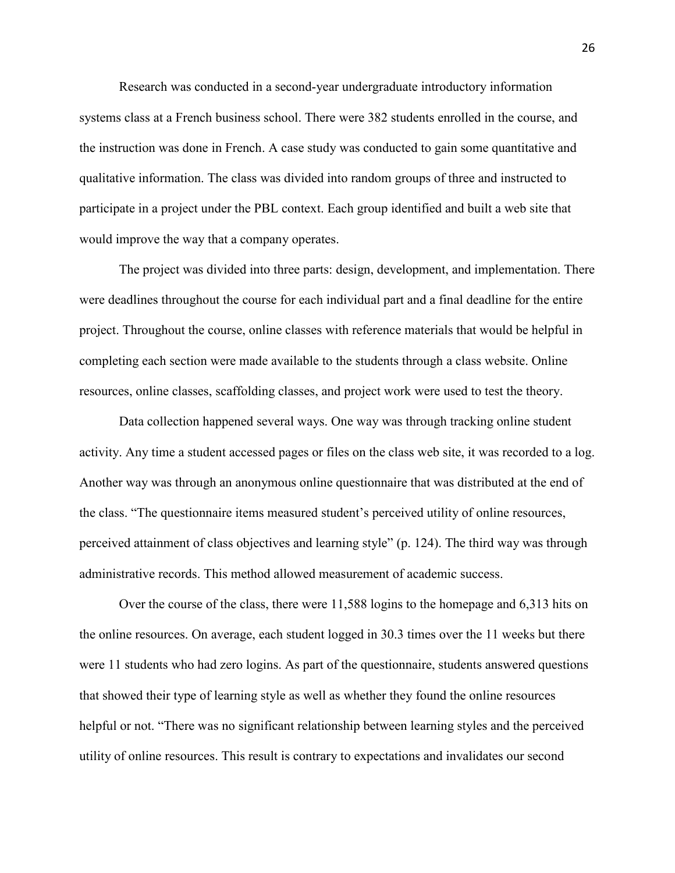Research was conducted in a second-year undergraduate introductory information systems class at a French business school. There were 382 students enrolled in the course, and the instruction was done in French. A case study was conducted to gain some quantitative and qualitative information. The class was divided into random groups of three and instructed to participate in a project under the PBL context. Each group identified and built a web site that would improve the way that a company operates.

The project was divided into three parts: design, development, and implementation. There were deadlines throughout the course for each individual part and a final deadline for the entire project. Throughout the course, online classes with reference materials that would be helpful in completing each section were made available to the students through a class website. Online resources, online classes, scaffolding classes, and project work were used to test the theory.

Data collection happened several ways. One way was through tracking online student activity. Any time a student accessed pages or files on the class web site, it was recorded to a log. Another way was through an anonymous online questionnaire that was distributed at the end of the class. "The questionnaire items measured student's perceived utility of online resources, perceived attainment of class objectives and learning style" (p. 124). The third way was through administrative records. This method allowed measurement of academic success.

Over the course of the class, there were 11,588 logins to the homepage and 6,313 hits on the online resources. On average, each student logged in 30.3 times over the 11 weeks but there were 11 students who had zero logins. As part of the questionnaire, students answered questions that showed their type of learning style as well as whether they found the online resources helpful or not. "There was no significant relationship between learning styles and the perceived utility of online resources. This result is contrary to expectations and invalidates our second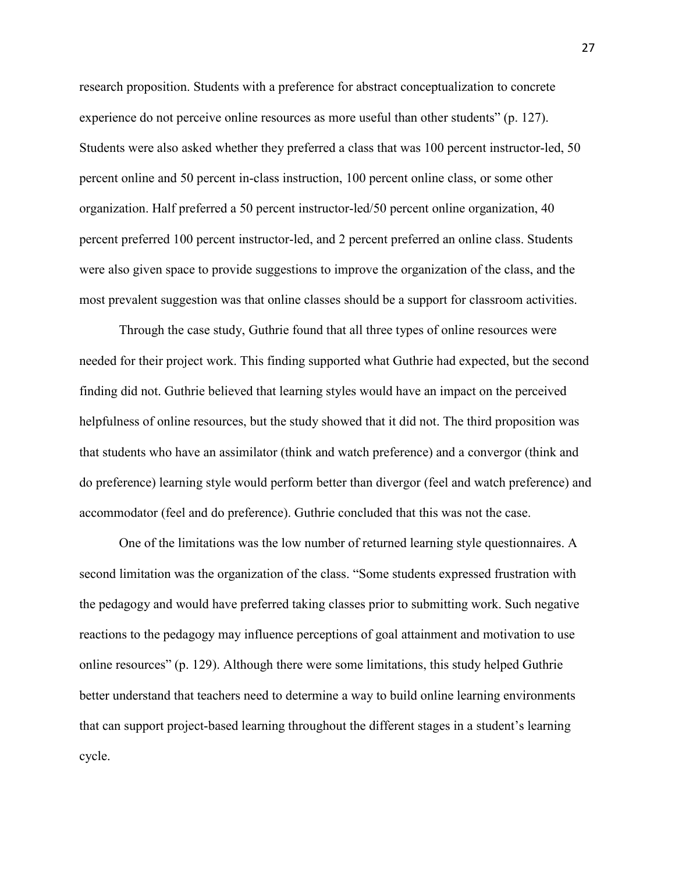research proposition. Students with a preference for abstract conceptualization to concrete experience do not perceive online resources as more useful than other students" (p. 127). Students were also asked whether they preferred a class that was 100 percent instructor-led, 50 percent online and 50 percent in-class instruction, 100 percent online class, or some other organization. Half preferred a 50 percent instructor-led/50 percent online organization, 40 percent preferred 100 percent instructor-led, and 2 percent preferred an online class. Students were also given space to provide suggestions to improve the organization of the class, and the most prevalent suggestion was that online classes should be a support for classroom activities.

Through the case study, Guthrie found that all three types of online resources were needed for their project work. This finding supported what Guthrie had expected, but the second finding did not. Guthrie believed that learning styles would have an impact on the perceived helpfulness of online resources, but the study showed that it did not. The third proposition was that students who have an assimilator (think and watch preference) and a convergor (think and do preference) learning style would perform better than divergor (feel and watch preference) and accommodator (feel and do preference). Guthrie concluded that this was not the case.

One of the limitations was the low number of returned learning style questionnaires. A second limitation was the organization of the class. "Some students expressed frustration with the pedagogy and would have preferred taking classes prior to submitting work. Such negative reactions to the pedagogy may influence perceptions of goal attainment and motivation to use online resources" (p. 129). Although there were some limitations, this study helped Guthrie better understand that teachers need to determine a way to build online learning environments that can support project-based learning throughout the different stages in a student's learning cycle.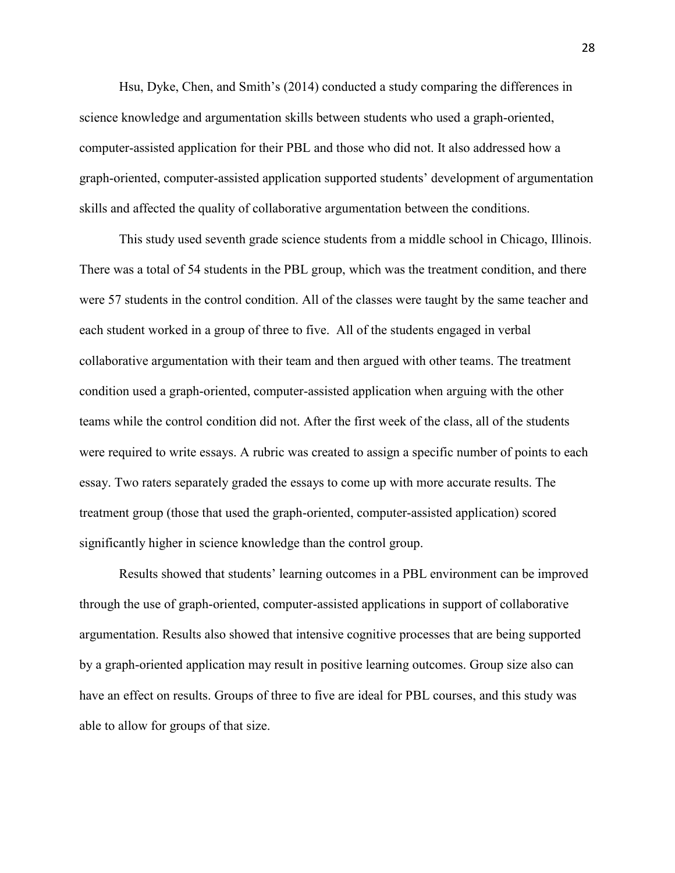Hsu, Dyke, Chen, and Smith's (2014) conducted a study comparing the differences in science knowledge and argumentation skills between students who used a graph-oriented, computer-assisted application for their PBL and those who did not. It also addressed how a graph-oriented, computer-assisted application supported students' development of argumentation skills and affected the quality of collaborative argumentation between the conditions.

This study used seventh grade science students from a middle school in Chicago, Illinois. There was a total of 54 students in the PBL group, which was the treatment condition, and there were 57 students in the control condition. All of the classes were taught by the same teacher and each student worked in a group of three to five. All of the students engaged in verbal collaborative argumentation with their team and then argued with other teams. The treatment condition used a graph-oriented, computer-assisted application when arguing with the other teams while the control condition did not. After the first week of the class, all of the students were required to write essays. A rubric was created to assign a specific number of points to each essay. Two raters separately graded the essays to come up with more accurate results. The treatment group (those that used the graph-oriented, computer-assisted application) scored significantly higher in science knowledge than the control group.

Results showed that students' learning outcomes in a PBL environment can be improved through the use of graph-oriented, computer-assisted applications in support of collaborative argumentation. Results also showed that intensive cognitive processes that are being supported by a graph-oriented application may result in positive learning outcomes. Group size also can have an effect on results. Groups of three to five are ideal for PBL courses, and this study was able to allow for groups of that size.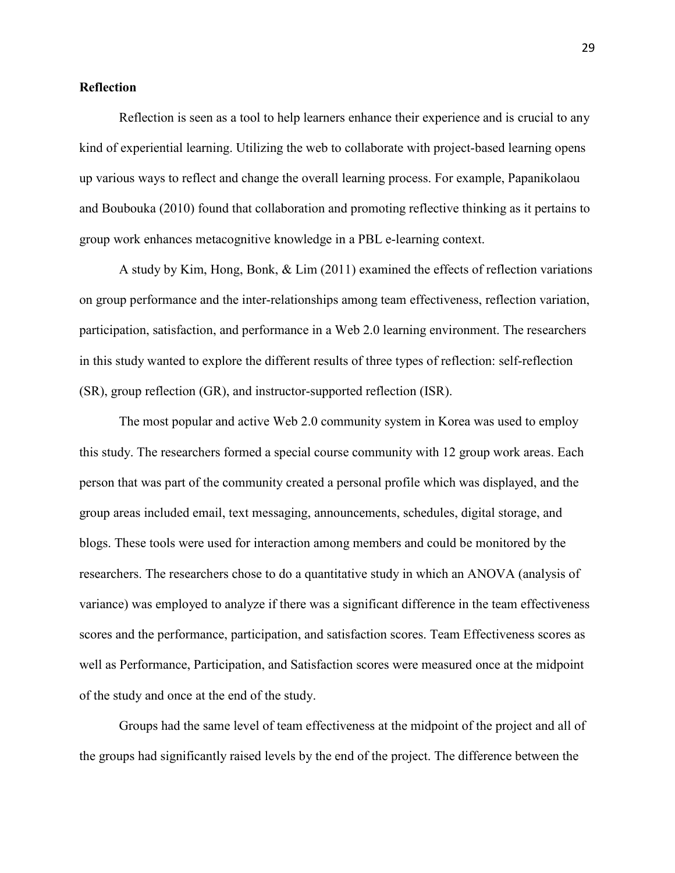#### **Reflection**

Reflection is seen as a tool to help learners enhance their experience and is crucial to any kind of experiential learning. Utilizing the web to collaborate with project-based learning opens up various ways to reflect and change the overall learning process. For example, Papanikolaou and Boubouka (2010) found that collaboration and promoting reflective thinking as it pertains to group work enhances metacognitive knowledge in a PBL e-learning context.

A study by Kim, Hong, Bonk, & Lim (2011) examined the effects of reflection variations on group performance and the inter-relationships among team effectiveness, reflection variation, participation, satisfaction, and performance in a Web 2.0 learning environment. The researchers in this study wanted to explore the different results of three types of reflection: self-reflection (SR), group reflection (GR), and instructor-supported reflection (ISR).

The most popular and active Web 2.0 community system in Korea was used to employ this study. The researchers formed a special course community with 12 group work areas. Each person that was part of the community created a personal profile which was displayed, and the group areas included email, text messaging, announcements, schedules, digital storage, and blogs. These tools were used for interaction among members and could be monitored by the researchers. The researchers chose to do a quantitative study in which an ANOVA (analysis of variance) was employed to analyze if there was a significant difference in the team effectiveness scores and the performance, participation, and satisfaction scores. Team Effectiveness scores as well as Performance, Participation, and Satisfaction scores were measured once at the midpoint of the study and once at the end of the study.

Groups had the same level of team effectiveness at the midpoint of the project and all of the groups had significantly raised levels by the end of the project. The difference between the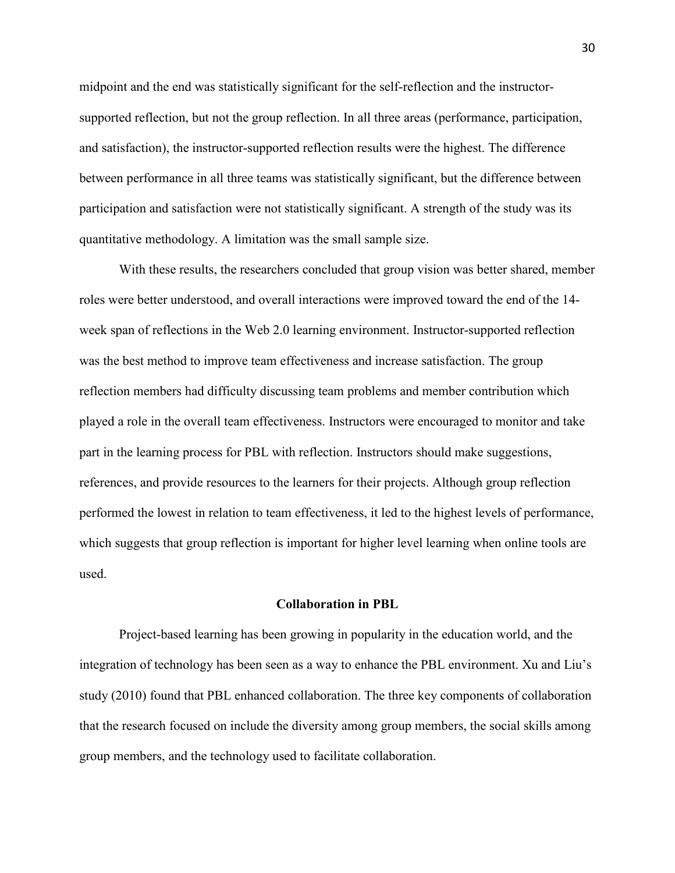midpoint and the end was statistically significant for the self-reflection and the instructorsupported reflection, but not the group reflection. In all three areas (performance, participation, and satisfaction), the instructor-supported reflection results were the highest. The difference between performance in all three teams was statistically significant, but the difference between participation and satisfaction were not statistically significant. A strength of the study was its quantitative methodology. A limitation was the small sample size.

With these results, the researchers concluded that group vision was better shared, member roles were better understood, and overall interactions were improved toward the end of the 14 week span of reflections in the Web 2.0 learning environment. Instructor-supported reflection was the best method to improve team effectiveness and increase satisfaction. The group reflection members had difficulty discussing team problems and member contribution which played a role in the overall team effectiveness. Instructors were encouraged to monitor and take part in the learning process for PBL with reflection. Instructors should make suggestions, references, and provide resources to the learners for their projects. Although group reflection performed the lowest in relation to team effectiveness, it led to the highest levels of performance, which suggests that group reflection is important for higher level learning when online tools are used.

#### **Collaboration in PBL**

Project-based learning has been growing in popularity in the education world, and the integration of technology has been seen as a way to enhance the PBL environment. Xu and Liu's study (2010) found that PBL enhanced collaboration. The three key components of collaboration that the research focused on include the diversity among group members, the social skills among group members, and the technology used to facilitate collaboration.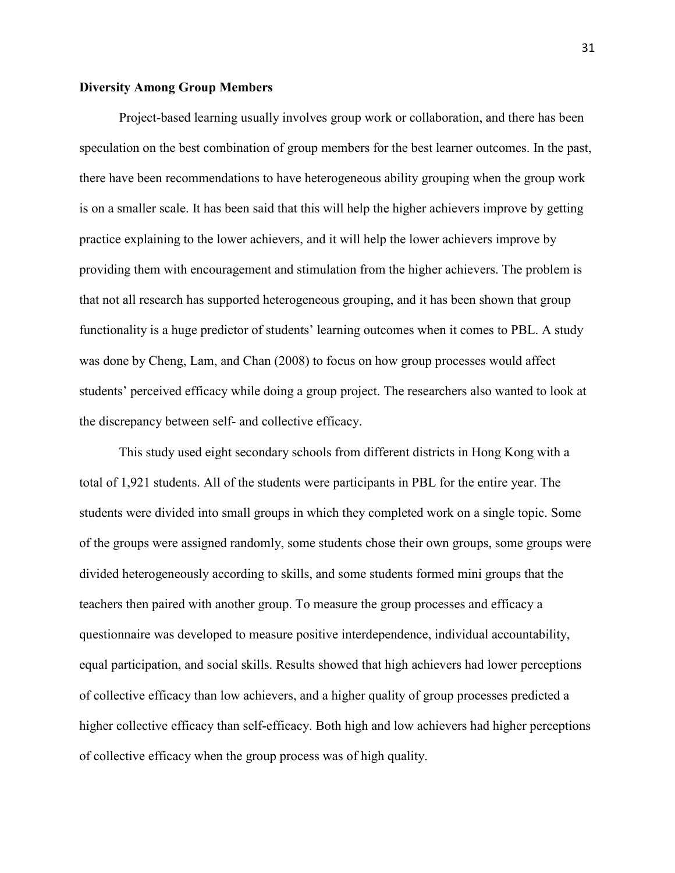#### **Diversity Among Group Members**

Project-based learning usually involves group work or collaboration, and there has been speculation on the best combination of group members for the best learner outcomes. In the past, there have been recommendations to have heterogeneous ability grouping when the group work is on a smaller scale. It has been said that this will help the higher achievers improve by getting practice explaining to the lower achievers, and it will help the lower achievers improve by providing them with encouragement and stimulation from the higher achievers. The problem is that not all research has supported heterogeneous grouping, and it has been shown that group functionality is a huge predictor of students' learning outcomes when it comes to PBL. A study was done by Cheng, Lam, and Chan (2008) to focus on how group processes would affect students' perceived efficacy while doing a group project. The researchers also wanted to look at the discrepancy between self- and collective efficacy.

This study used eight secondary schools from different districts in Hong Kong with a total of 1,921 students. All of the students were participants in PBL for the entire year. The students were divided into small groups in which they completed work on a single topic. Some of the groups were assigned randomly, some students chose their own groups, some groups were divided heterogeneously according to skills, and some students formed mini groups that the teachers then paired with another group. To measure the group processes and efficacy a questionnaire was developed to measure positive interdependence, individual accountability, equal participation, and social skills. Results showed that high achievers had lower perceptions of collective efficacy than low achievers, and a higher quality of group processes predicted a higher collective efficacy than self-efficacy. Both high and low achievers had higher perceptions of collective efficacy when the group process was of high quality.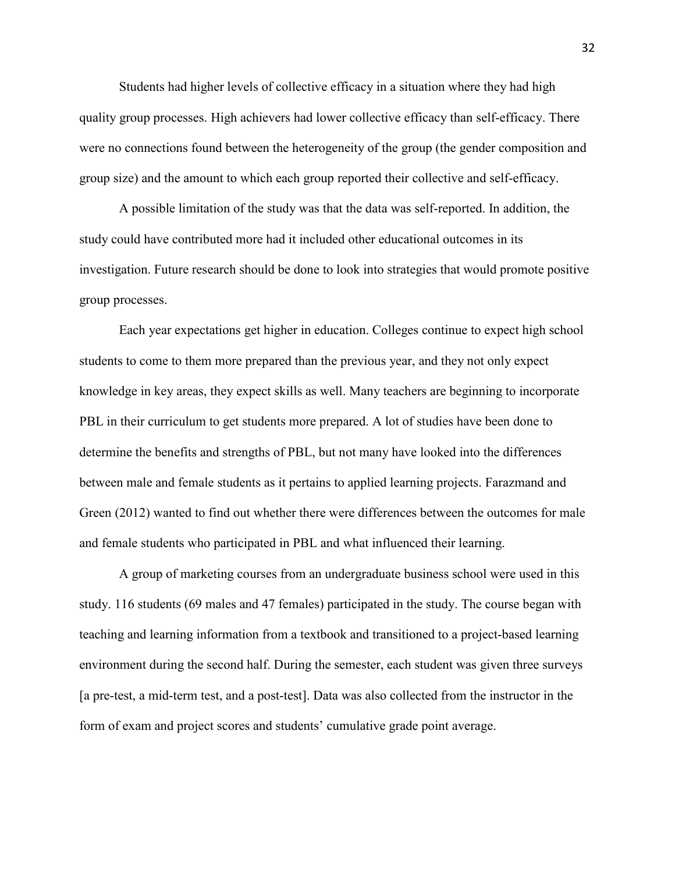Students had higher levels of collective efficacy in a situation where they had high quality group processes. High achievers had lower collective efficacy than self-efficacy. There were no connections found between the heterogeneity of the group (the gender composition and group size) and the amount to which each group reported their collective and self-efficacy.

A possible limitation of the study was that the data was self-reported. In addition, the study could have contributed more had it included other educational outcomes in its investigation. Future research should be done to look into strategies that would promote positive group processes.

Each year expectations get higher in education. Colleges continue to expect high school students to come to them more prepared than the previous year, and they not only expect knowledge in key areas, they expect skills as well. Many teachers are beginning to incorporate PBL in their curriculum to get students more prepared. A lot of studies have been done to determine the benefits and strengths of PBL, but not many have looked into the differences between male and female students as it pertains to applied learning projects. Farazmand and Green (2012) wanted to find out whether there were differences between the outcomes for male and female students who participated in PBL and what influenced their learning.

A group of marketing courses from an undergraduate business school were used in this study. 116 students (69 males and 47 females) participated in the study. The course began with teaching and learning information from a textbook and transitioned to a project-based learning environment during the second half. During the semester, each student was given three surveys [a pre-test, a mid-term test, and a post-test]. Data was also collected from the instructor in the form of exam and project scores and students' cumulative grade point average.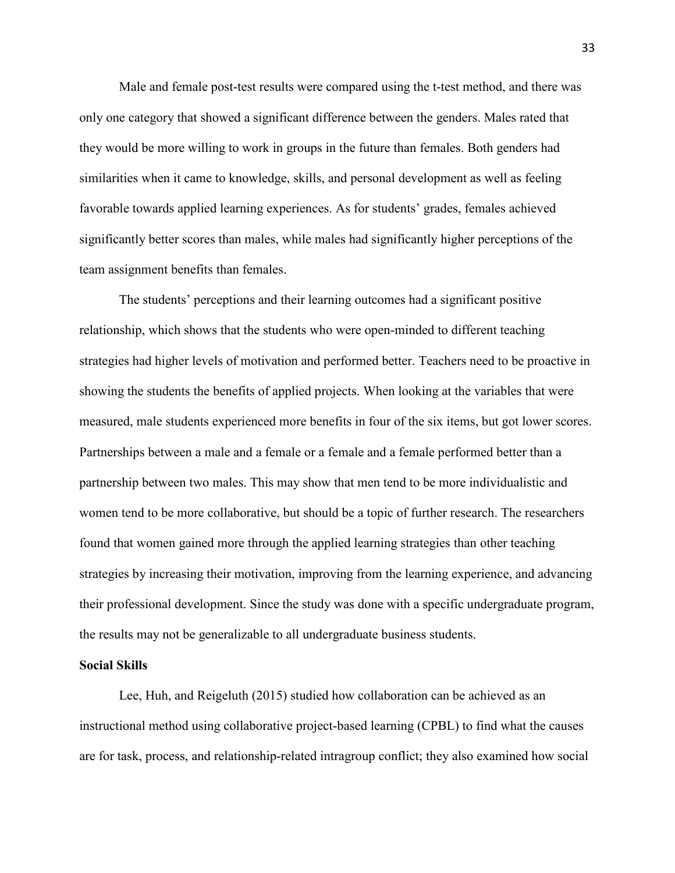Male and female post-test results were compared using the t-test method, and there was only one category that showed a significant difference between the genders. Males rated that they would be more willing to work in groups in the future than females. Both genders had similarities when it came to knowledge, skills, and personal development as well as feeling favorable towards applied learning experiences. As for students' grades, females achieved significantly better scores than males, while males had significantly higher perceptions of the team assignment benefits than females.

The students' perceptions and their learning outcomes had a significant positive relationship, which shows that the students who were open-minded to different teaching strategies had higher levels of motivation and performed better. Teachers need to be proactive in showing the students the benefits of applied projects. When looking at the variables that were measured, male students experienced more benefits in four of the six items, but got lower scores. Partnerships between a male and a female or a female and a female performed better than a partnership between two males. This may show that men tend to be more individualistic and women tend to be more collaborative, but should be a topic of further research. The researchers found that women gained more through the applied learning strategies than other teaching strategies by increasing their motivation, improving from the learning experience, and advancing their professional development. Since the study was done with a specific undergraduate program, the results may not be generalizable to all undergraduate business students.

#### **Social Skills**

Lee, Huh, and Reigeluth (2015) studied how collaboration can be achieved as an instructional method using collaborative project-based learning (CPBL) to find what the causes are for task, process, and relationship-related intragroup conflict; they also examined how social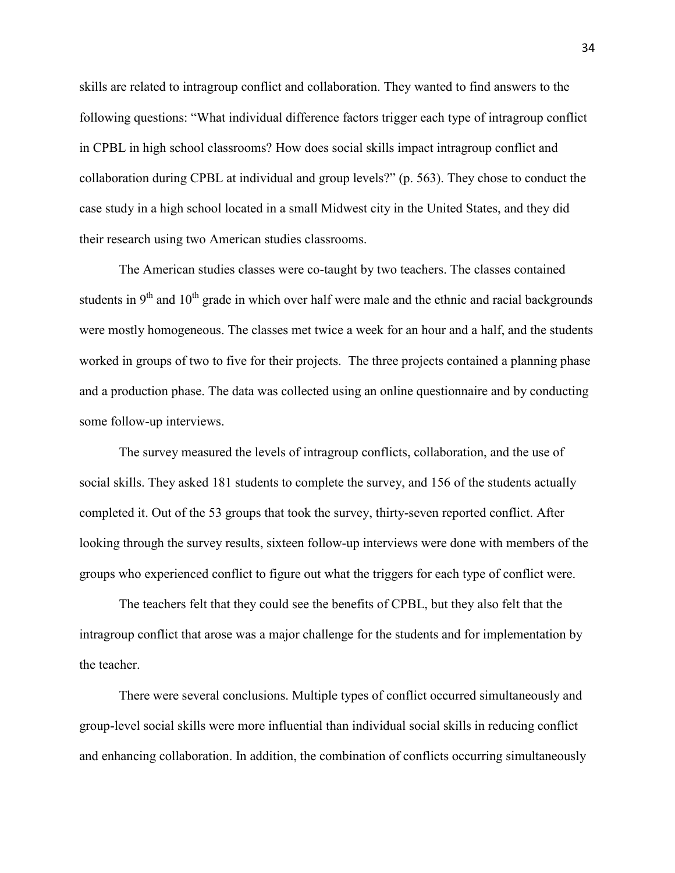skills are related to intragroup conflict and collaboration. They wanted to find answers to the following questions: "What individual difference factors trigger each type of intragroup conflict in CPBL in high school classrooms? How does social skills impact intragroup conflict and collaboration during CPBL at individual and group levels?" (p. 563). They chose to conduct the case study in a high school located in a small Midwest city in the United States, and they did their research using two American studies classrooms.

The American studies classes were co-taught by two teachers. The classes contained students in  $9<sup>th</sup>$  and  $10<sup>th</sup>$  grade in which over half were male and the ethnic and racial backgrounds were mostly homogeneous. The classes met twice a week for an hour and a half, and the students worked in groups of two to five for their projects. The three projects contained a planning phase and a production phase. The data was collected using an online questionnaire and by conducting some follow-up interviews.

The survey measured the levels of intragroup conflicts, collaboration, and the use of social skills. They asked 181 students to complete the survey, and 156 of the students actually completed it. Out of the 53 groups that took the survey, thirty-seven reported conflict. After looking through the survey results, sixteen follow-up interviews were done with members of the groups who experienced conflict to figure out what the triggers for each type of conflict were.

The teachers felt that they could see the benefits of CPBL, but they also felt that the intragroup conflict that arose was a major challenge for the students and for implementation by the teacher.

There were several conclusions. Multiple types of conflict occurred simultaneously and group-level social skills were more influential than individual social skills in reducing conflict and enhancing collaboration. In addition, the combination of conflicts occurring simultaneously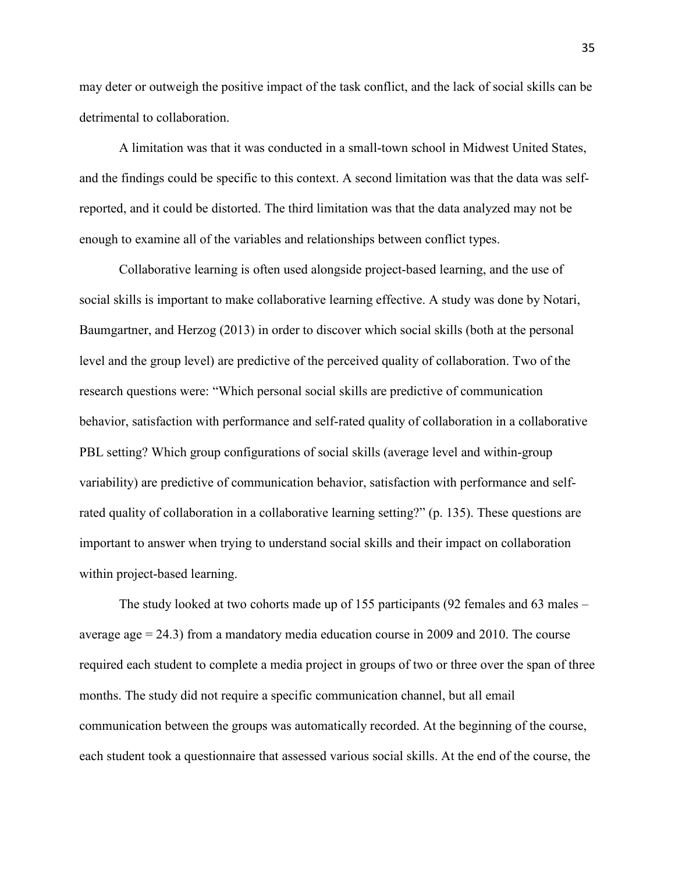may deter or outweigh the positive impact of the task conflict, and the lack of social skills can be detrimental to collaboration.

A limitation was that it was conducted in a small-town school in Midwest United States, and the findings could be specific to this context. A second limitation was that the data was selfreported, and it could be distorted. The third limitation was that the data analyzed may not be enough to examine all of the variables and relationships between conflict types.

Collaborative learning is often used alongside project-based learning, and the use of social skills is important to make collaborative learning effective. A study was done by Notari, Baumgartner, and Herzog (2013) in order to discover which social skills (both at the personal level and the group level) are predictive of the perceived quality of collaboration. Two of the research questions were: "Which personal social skills are predictive of communication behavior, satisfaction with performance and self-rated quality of collaboration in a collaborative PBL setting? Which group configurations of social skills (average level and within-group variability) are predictive of communication behavior, satisfaction with performance and selfrated quality of collaboration in a collaborative learning setting?" (p. 135). These questions are important to answer when trying to understand social skills and their impact on collaboration within project-based learning.

The study looked at two cohorts made up of 155 participants (92 females and 63 males – average age  $= 24.3$ ) from a mandatory media education course in 2009 and 2010. The course required each student to complete a media project in groups of two or three over the span of three months. The study did not require a specific communication channel, but all email communication between the groups was automatically recorded. At the beginning of the course, each student took a questionnaire that assessed various social skills. At the end of the course, the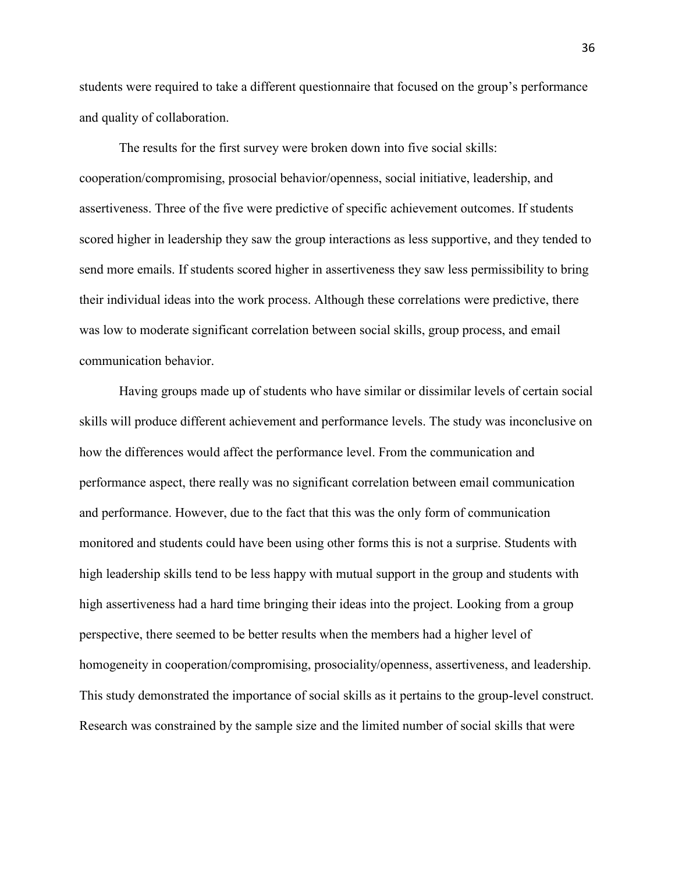students were required to take a different questionnaire that focused on the group's performance and quality of collaboration.

The results for the first survey were broken down into five social skills: cooperation/compromising, prosocial behavior/openness, social initiative, leadership, and assertiveness. Three of the five were predictive of specific achievement outcomes. If students scored higher in leadership they saw the group interactions as less supportive, and they tended to send more emails. If students scored higher in assertiveness they saw less permissibility to bring their individual ideas into the work process. Although these correlations were predictive, there was low to moderate significant correlation between social skills, group process, and email communication behavior.

Having groups made up of students who have similar or dissimilar levels of certain social skills will produce different achievement and performance levels. The study was inconclusive on how the differences would affect the performance level. From the communication and performance aspect, there really was no significant correlation between email communication and performance. However, due to the fact that this was the only form of communication monitored and students could have been using other forms this is not a surprise. Students with high leadership skills tend to be less happy with mutual support in the group and students with high assertiveness had a hard time bringing their ideas into the project. Looking from a group perspective, there seemed to be better results when the members had a higher level of homogeneity in cooperation/compromising, prosociality/openness, assertiveness, and leadership. This study demonstrated the importance of social skills as it pertains to the group-level construct. Research was constrained by the sample size and the limited number of social skills that were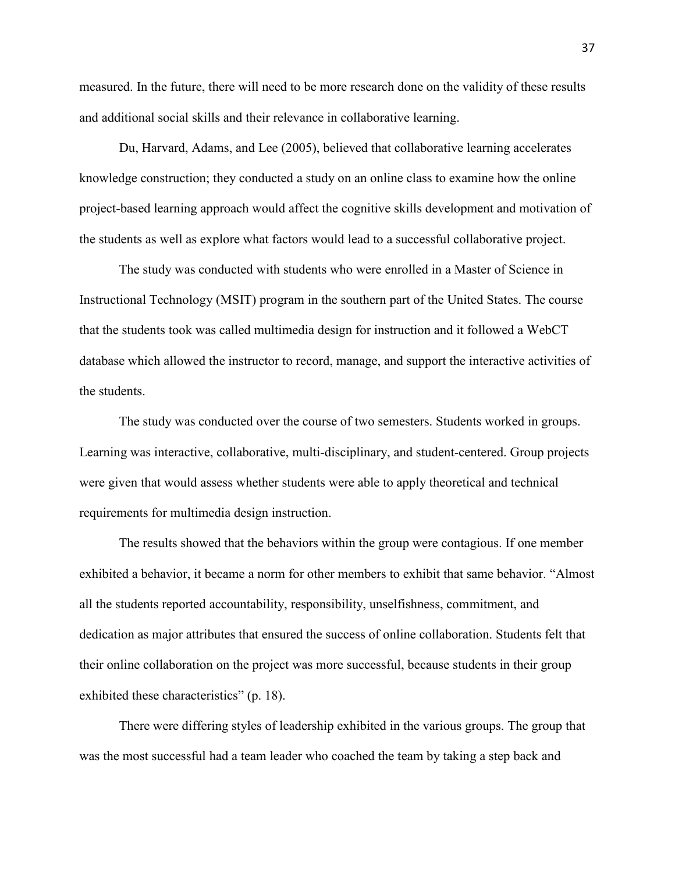measured. In the future, there will need to be more research done on the validity of these results and additional social skills and their relevance in collaborative learning.

 Du, Harvard, Adams, and Lee (2005), believed that collaborative learning accelerates knowledge construction; they conducted a study on an online class to examine how the online project-based learning approach would affect the cognitive skills development and motivation of the students as well as explore what factors would lead to a successful collaborative project.

The study was conducted with students who were enrolled in a Master of Science in Instructional Technology (MSIT) program in the southern part of the United States. The course that the students took was called multimedia design for instruction and it followed a WebCT database which allowed the instructor to record, manage, and support the interactive activities of the students.

 The study was conducted over the course of two semesters. Students worked in groups. Learning was interactive, collaborative, multi-disciplinary, and student-centered. Group projects were given that would assess whether students were able to apply theoretical and technical requirements for multimedia design instruction.

 The results showed that the behaviors within the group were contagious. If one member exhibited a behavior, it became a norm for other members to exhibit that same behavior. "Almost all the students reported accountability, responsibility, unselfishness, commitment, and dedication as major attributes that ensured the success of online collaboration. Students felt that their online collaboration on the project was more successful, because students in their group exhibited these characteristics" (p. 18).

 There were differing styles of leadership exhibited in the various groups. The group that was the most successful had a team leader who coached the team by taking a step back and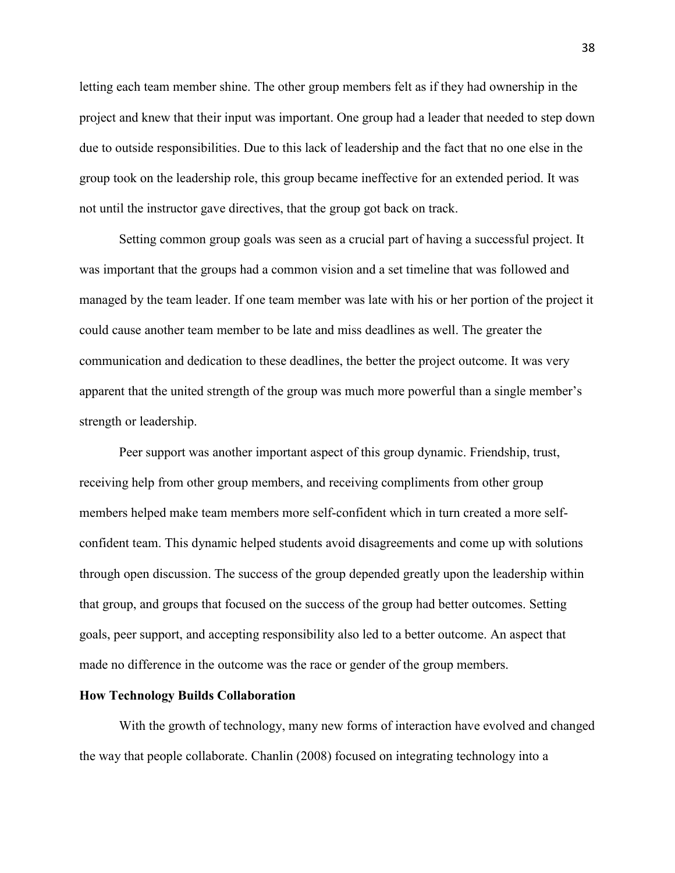letting each team member shine. The other group members felt as if they had ownership in the project and knew that their input was important. One group had a leader that needed to step down due to outside responsibilities. Due to this lack of leadership and the fact that no one else in the group took on the leadership role, this group became ineffective for an extended period. It was not until the instructor gave directives, that the group got back on track.

 Setting common group goals was seen as a crucial part of having a successful project. It was important that the groups had a common vision and a set timeline that was followed and managed by the team leader. If one team member was late with his or her portion of the project it could cause another team member to be late and miss deadlines as well. The greater the communication and dedication to these deadlines, the better the project outcome. It was very apparent that the united strength of the group was much more powerful than a single member's strength or leadership.

 Peer support was another important aspect of this group dynamic. Friendship, trust, receiving help from other group members, and receiving compliments from other group members helped make team members more self-confident which in turn created a more selfconfident team. This dynamic helped students avoid disagreements and come up with solutions through open discussion. The success of the group depended greatly upon the leadership within that group, and groups that focused on the success of the group had better outcomes. Setting goals, peer support, and accepting responsibility also led to a better outcome. An aspect that made no difference in the outcome was the race or gender of the group members.

#### **How Technology Builds Collaboration**

With the growth of technology, many new forms of interaction have evolved and changed the way that people collaborate. Chanlin (2008) focused on integrating technology into a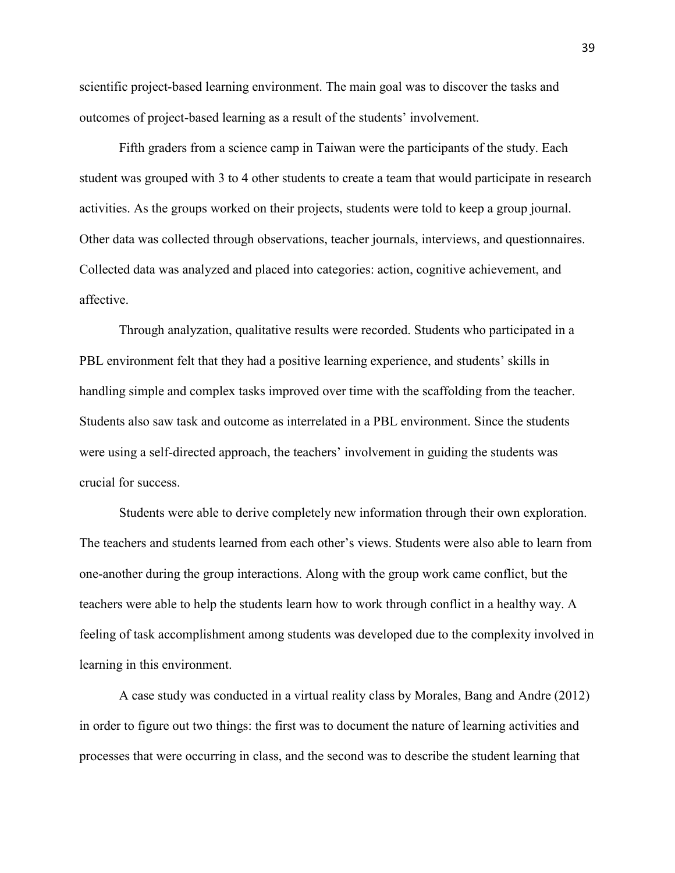scientific project-based learning environment. The main goal was to discover the tasks and outcomes of project-based learning as a result of the students' involvement.

Fifth graders from a science camp in Taiwan were the participants of the study. Each student was grouped with 3 to 4 other students to create a team that would participate in research activities. As the groups worked on their projects, students were told to keep a group journal. Other data was collected through observations, teacher journals, interviews, and questionnaires. Collected data was analyzed and placed into categories: action, cognitive achievement, and affective.

Through analyzation, qualitative results were recorded. Students who participated in a PBL environment felt that they had a positive learning experience, and students' skills in handling simple and complex tasks improved over time with the scaffolding from the teacher. Students also saw task and outcome as interrelated in a PBL environment. Since the students were using a self-directed approach, the teachers' involvement in guiding the students was crucial for success.

Students were able to derive completely new information through their own exploration. The teachers and students learned from each other's views. Students were also able to learn from one-another during the group interactions. Along with the group work came conflict, but the teachers were able to help the students learn how to work through conflict in a healthy way. A feeling of task accomplishment among students was developed due to the complexity involved in learning in this environment.

A case study was conducted in a virtual reality class by Morales, Bang and Andre (2012) in order to figure out two things: the first was to document the nature of learning activities and processes that were occurring in class, and the second was to describe the student learning that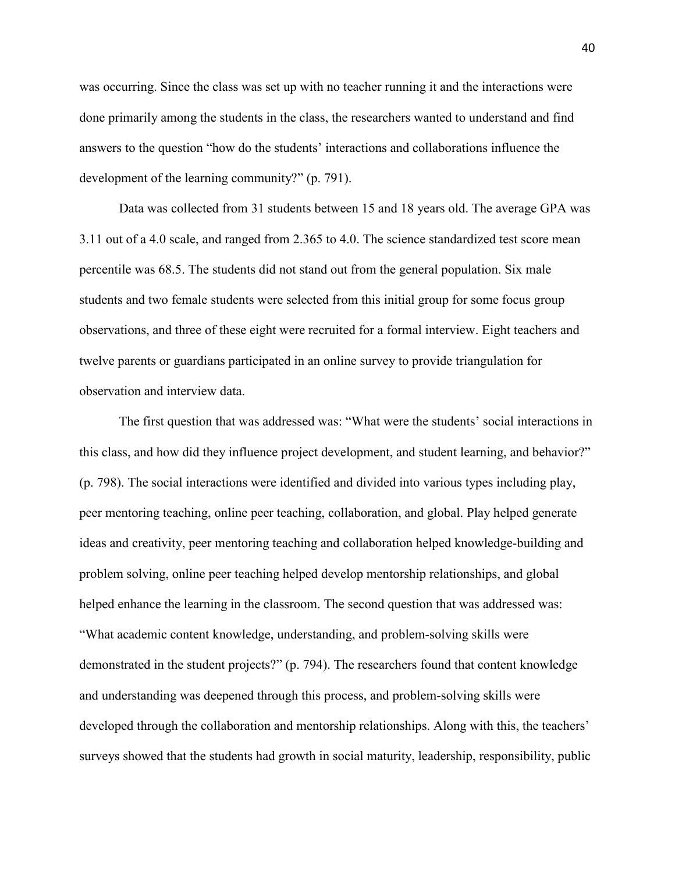was occurring. Since the class was set up with no teacher running it and the interactions were done primarily among the students in the class, the researchers wanted to understand and find answers to the question "how do the students' interactions and collaborations influence the development of the learning community?" (p. 791).

Data was collected from 31 students between 15 and 18 years old. The average GPA was 3.11 out of a 4.0 scale, and ranged from 2.365 to 4.0. The science standardized test score mean percentile was 68.5. The students did not stand out from the general population. Six male students and two female students were selected from this initial group for some focus group observations, and three of these eight were recruited for a formal interview. Eight teachers and twelve parents or guardians participated in an online survey to provide triangulation for observation and interview data.

The first question that was addressed was: "What were the students' social interactions in this class, and how did they influence project development, and student learning, and behavior?" (p. 798). The social interactions were identified and divided into various types including play, peer mentoring teaching, online peer teaching, collaboration, and global. Play helped generate ideas and creativity, peer mentoring teaching and collaboration helped knowledge-building and problem solving, online peer teaching helped develop mentorship relationships, and global helped enhance the learning in the classroom. The second question that was addressed was: "What academic content knowledge, understanding, and problem-solving skills were demonstrated in the student projects?" (p. 794). The researchers found that content knowledge and understanding was deepened through this process, and problem-solving skills were developed through the collaboration and mentorship relationships. Along with this, the teachers' surveys showed that the students had growth in social maturity, leadership, responsibility, public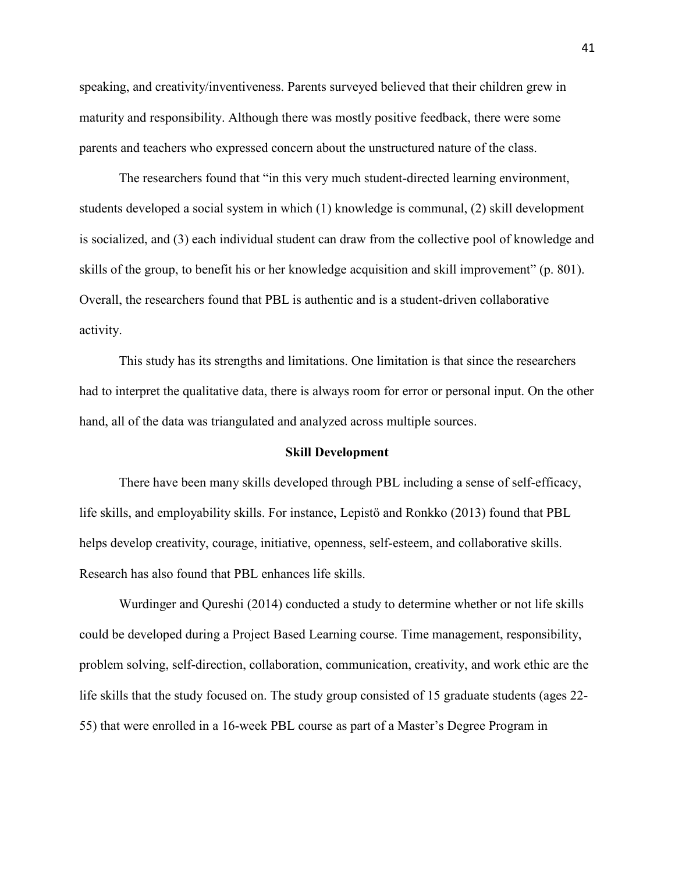speaking, and creativity/inventiveness. Parents surveyed believed that their children grew in maturity and responsibility. Although there was mostly positive feedback, there were some parents and teachers who expressed concern about the unstructured nature of the class.

The researchers found that "in this very much student-directed learning environment, students developed a social system in which (1) knowledge is communal, (2) skill development is socialized, and (3) each individual student can draw from the collective pool of knowledge and skills of the group, to benefit his or her knowledge acquisition and skill improvement" (p. 801). Overall, the researchers found that PBL is authentic and is a student-driven collaborative activity.

This study has its strengths and limitations. One limitation is that since the researchers had to interpret the qualitative data, there is always room for error or personal input. On the other hand, all of the data was triangulated and analyzed across multiple sources.

#### **Skill Development**

There have been many skills developed through PBL including a sense of self-efficacy, life skills, and employability skills. For instance, Lepistö and Ronkko (2013) found that PBL helps develop creativity, courage, initiative, openness, self-esteem, and collaborative skills. Research has also found that PBL enhances life skills.

 Wurdinger and Qureshi (2014) conducted a study to determine whether or not life skills could be developed during a Project Based Learning course. Time management, responsibility, problem solving, self-direction, collaboration, communication, creativity, and work ethic are the life skills that the study focused on. The study group consisted of 15 graduate students (ages 22- 55) that were enrolled in a 16-week PBL course as part of a Master's Degree Program in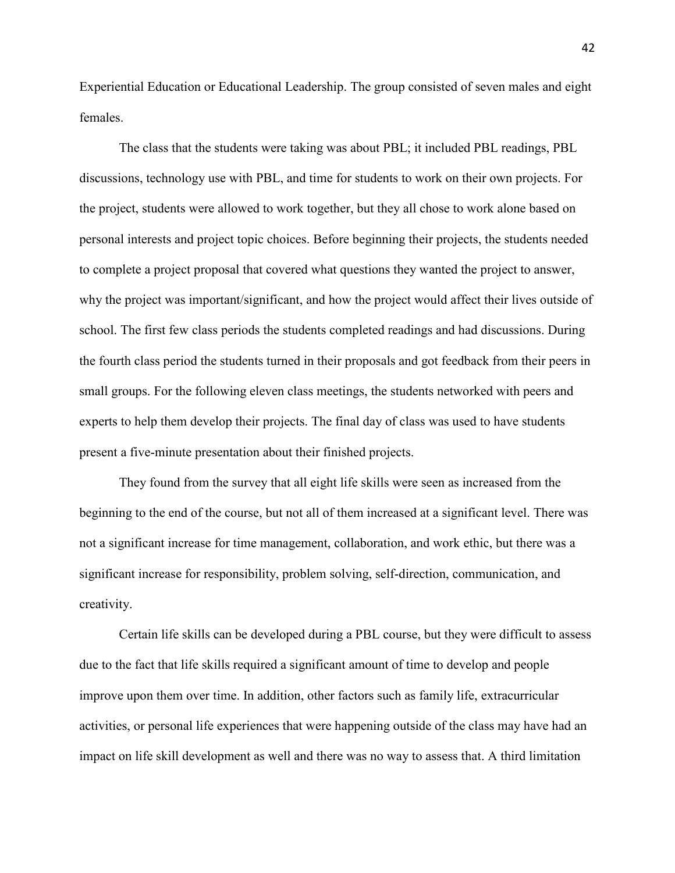Experiential Education or Educational Leadership. The group consisted of seven males and eight females.

 The class that the students were taking was about PBL; it included PBL readings, PBL discussions, technology use with PBL, and time for students to work on their own projects. For the project, students were allowed to work together, but they all chose to work alone based on personal interests and project topic choices. Before beginning their projects, the students needed to complete a project proposal that covered what questions they wanted the project to answer, why the project was important/significant, and how the project would affect their lives outside of school. The first few class periods the students completed readings and had discussions. During the fourth class period the students turned in their proposals and got feedback from their peers in small groups. For the following eleven class meetings, the students networked with peers and experts to help them develop their projects. The final day of class was used to have students present a five-minute presentation about their finished projects.

They found from the survey that all eight life skills were seen as increased from the beginning to the end of the course, but not all of them increased at a significant level. There was not a significant increase for time management, collaboration, and work ethic, but there was a significant increase for responsibility, problem solving, self-direction, communication, and creativity.

 Certain life skills can be developed during a PBL course, but they were difficult to assess due to the fact that life skills required a significant amount of time to develop and people improve upon them over time. In addition, other factors such as family life, extracurricular activities, or personal life experiences that were happening outside of the class may have had an impact on life skill development as well and there was no way to assess that. A third limitation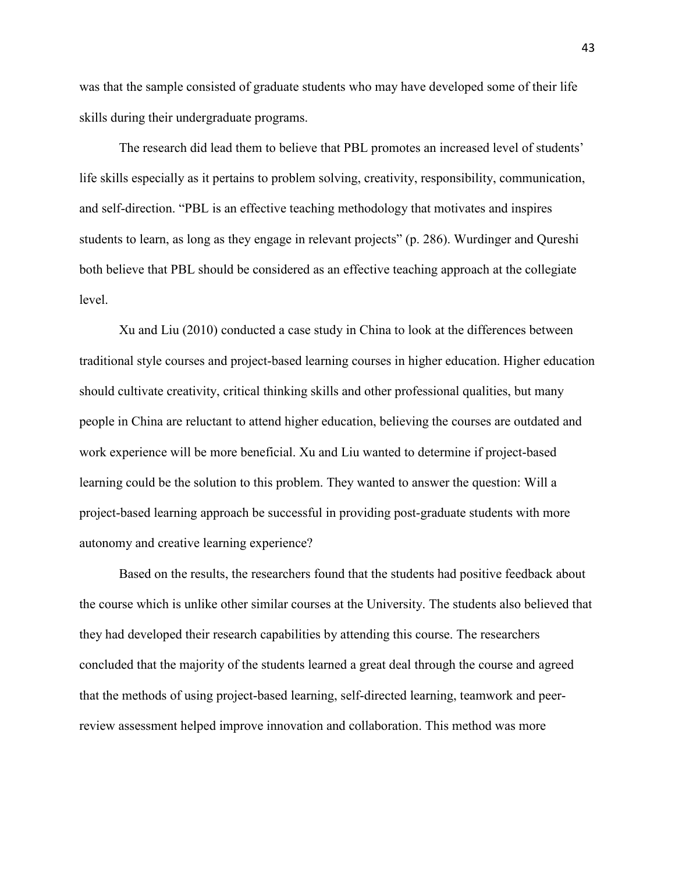was that the sample consisted of graduate students who may have developed some of their life skills during their undergraduate programs.

 The research did lead them to believe that PBL promotes an increased level of students' life skills especially as it pertains to problem solving, creativity, responsibility, communication, and self-direction. "PBL is an effective teaching methodology that motivates and inspires students to learn, as long as they engage in relevant projects" (p. 286). Wurdinger and Qureshi both believe that PBL should be considered as an effective teaching approach at the collegiate level.

 Xu and Liu (2010) conducted a case study in China to look at the differences between traditional style courses and project-based learning courses in higher education. Higher education should cultivate creativity, critical thinking skills and other professional qualities, but many people in China are reluctant to attend higher education, believing the courses are outdated and work experience will be more beneficial. Xu and Liu wanted to determine if project-based learning could be the solution to this problem. They wanted to answer the question: Will a project-based learning approach be successful in providing post-graduate students with more autonomy and creative learning experience?

 Based on the results, the researchers found that the students had positive feedback about the course which is unlike other similar courses at the University. The students also believed that they had developed their research capabilities by attending this course. The researchers concluded that the majority of the students learned a great deal through the course and agreed that the methods of using project-based learning, self-directed learning, teamwork and peerreview assessment helped improve innovation and collaboration. This method was more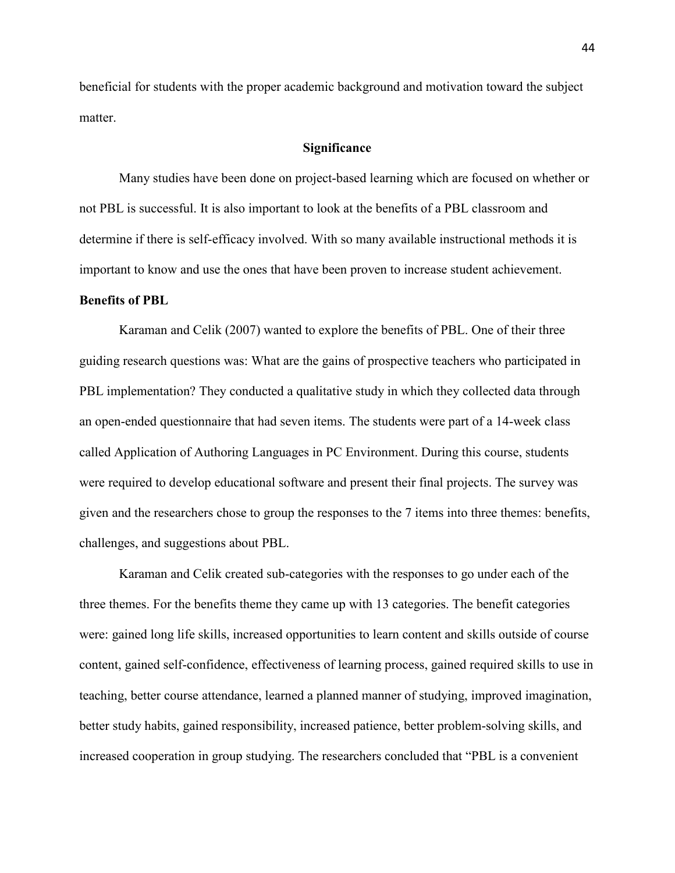beneficial for students with the proper academic background and motivation toward the subject matter.

#### **Significance**

Many studies have been done on project-based learning which are focused on whether or not PBL is successful. It is also important to look at the benefits of a PBL classroom and determine if there is self-efficacy involved. With so many available instructional methods it is important to know and use the ones that have been proven to increase student achievement.

#### **Benefits of PBL**

 Karaman and Celik (2007) wanted to explore the benefits of PBL. One of their three guiding research questions was: What are the gains of prospective teachers who participated in PBL implementation? They conducted a qualitative study in which they collected data through an open-ended questionnaire that had seven items. The students were part of a 14-week class called Application of Authoring Languages in PC Environment. During this course, students were required to develop educational software and present their final projects. The survey was given and the researchers chose to group the responses to the 7 items into three themes: benefits, challenges, and suggestions about PBL.

Karaman and Celik created sub-categories with the responses to go under each of the three themes. For the benefits theme they came up with 13 categories. The benefit categories were: gained long life skills, increased opportunities to learn content and skills outside of course content, gained self-confidence, effectiveness of learning process, gained required skills to use in teaching, better course attendance, learned a planned manner of studying, improved imagination, better study habits, gained responsibility, increased patience, better problem-solving skills, and increased cooperation in group studying. The researchers concluded that "PBL is a convenient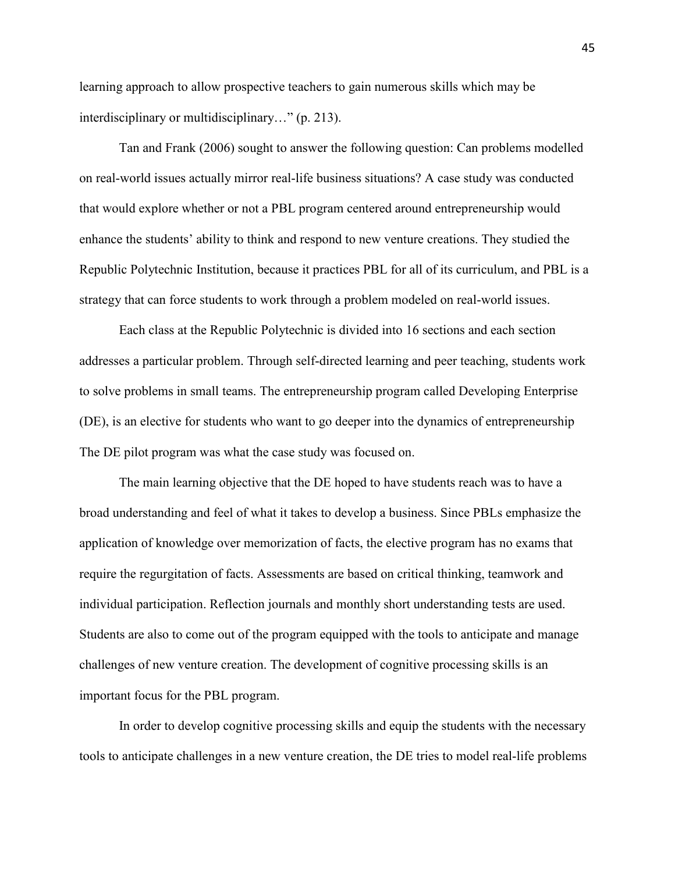learning approach to allow prospective teachers to gain numerous skills which may be interdisciplinary or multidisciplinary…" (p. 213).

Tan and Frank (2006) sought to answer the following question: Can problems modelled on real-world issues actually mirror real-life business situations? A case study was conducted that would explore whether or not a PBL program centered around entrepreneurship would enhance the students' ability to think and respond to new venture creations. They studied the Republic Polytechnic Institution, because it practices PBL for all of its curriculum, and PBL is a strategy that can force students to work through a problem modeled on real-world issues.

Each class at the Republic Polytechnic is divided into 16 sections and each section addresses a particular problem. Through self-directed learning and peer teaching, students work to solve problems in small teams. The entrepreneurship program called Developing Enterprise (DE), is an elective for students who want to go deeper into the dynamics of entrepreneurship The DE pilot program was what the case study was focused on.

The main learning objective that the DE hoped to have students reach was to have a broad understanding and feel of what it takes to develop a business. Since PBLs emphasize the application of knowledge over memorization of facts, the elective program has no exams that require the regurgitation of facts. Assessments are based on critical thinking, teamwork and individual participation. Reflection journals and monthly short understanding tests are used. Students are also to come out of the program equipped with the tools to anticipate and manage challenges of new venture creation. The development of cognitive processing skills is an important focus for the PBL program.

In order to develop cognitive processing skills and equip the students with the necessary tools to anticipate challenges in a new venture creation, the DE tries to model real-life problems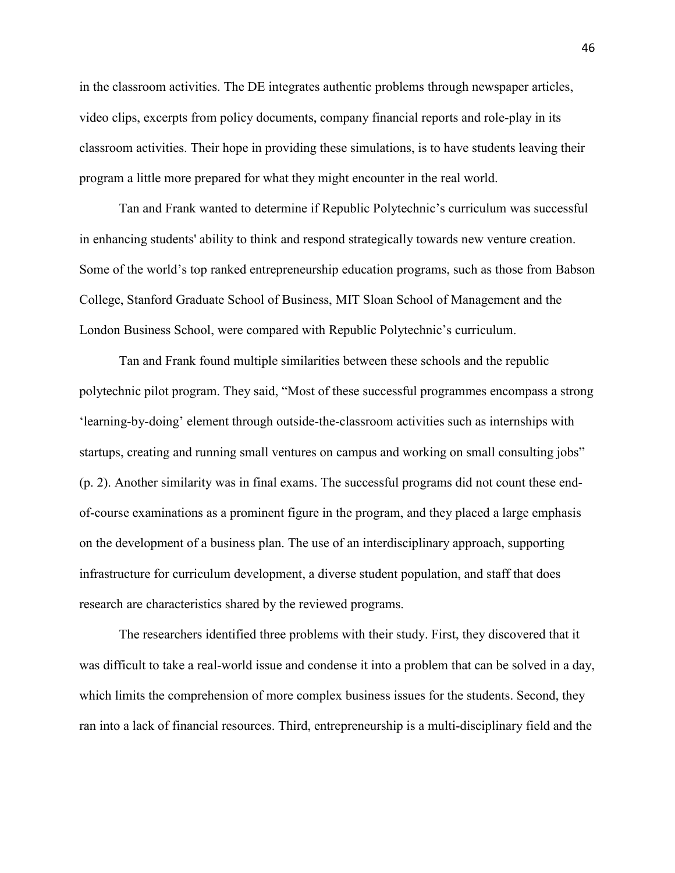in the classroom activities. The DE integrates authentic problems through newspaper articles, video clips, excerpts from policy documents, company financial reports and role-play in its classroom activities. Their hope in providing these simulations, is to have students leaving their program a little more prepared for what they might encounter in the real world.

Tan and Frank wanted to determine if Republic Polytechnic's curriculum was successful in enhancing students' ability to think and respond strategically towards new venture creation. Some of the world's top ranked entrepreneurship education programs, such as those from Babson College, Stanford Graduate School of Business, MIT Sloan School of Management and the London Business School, were compared with Republic Polytechnic's curriculum.

Tan and Frank found multiple similarities between these schools and the republic polytechnic pilot program. They said, "Most of these successful programmes encompass a strong 'learning-by-doing' element through outside-the-classroom activities such as internships with startups, creating and running small ventures on campus and working on small consulting jobs" (p. 2). Another similarity was in final exams. The successful programs did not count these endof-course examinations as a prominent figure in the program, and they placed a large emphasis on the development of a business plan. The use of an interdisciplinary approach, supporting infrastructure for curriculum development, a diverse student population, and staff that does research are characteristics shared by the reviewed programs.

The researchers identified three problems with their study. First, they discovered that it was difficult to take a real-world issue and condense it into a problem that can be solved in a day, which limits the comprehension of more complex business issues for the students. Second, they ran into a lack of financial resources. Third, entrepreneurship is a multi-disciplinary field and the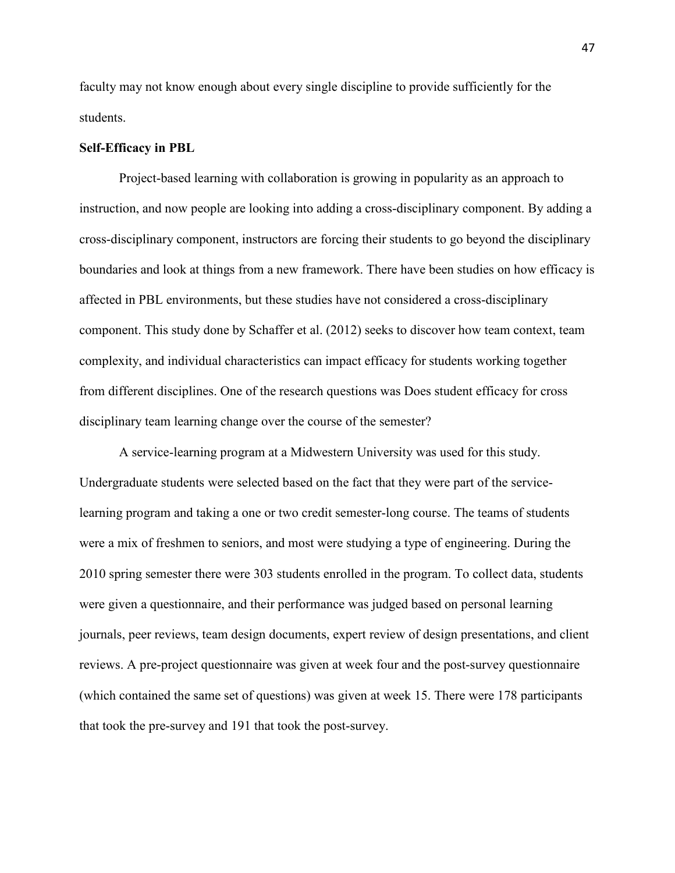faculty may not know enough about every single discipline to provide sufficiently for the students.

#### **Self-Efficacy in PBL**

Project-based learning with collaboration is growing in popularity as an approach to instruction, and now people are looking into adding a cross-disciplinary component. By adding a cross-disciplinary component, instructors are forcing their students to go beyond the disciplinary boundaries and look at things from a new framework. There have been studies on how efficacy is affected in PBL environments, but these studies have not considered a cross-disciplinary component. This study done by Schaffer et al. (2012) seeks to discover how team context, team complexity, and individual characteristics can impact efficacy for students working together from different disciplines. One of the research questions was Does student efficacy for cross disciplinary team learning change over the course of the semester?

A service-learning program at a Midwestern University was used for this study. Undergraduate students were selected based on the fact that they were part of the servicelearning program and taking a one or two credit semester-long course. The teams of students were a mix of freshmen to seniors, and most were studying a type of engineering. During the 2010 spring semester there were 303 students enrolled in the program. To collect data, students were given a questionnaire, and their performance was judged based on personal learning journals, peer reviews, team design documents, expert review of design presentations, and client reviews. A pre-project questionnaire was given at week four and the post-survey questionnaire (which contained the same set of questions) was given at week 15. There were 178 participants that took the pre-survey and 191 that took the post-survey.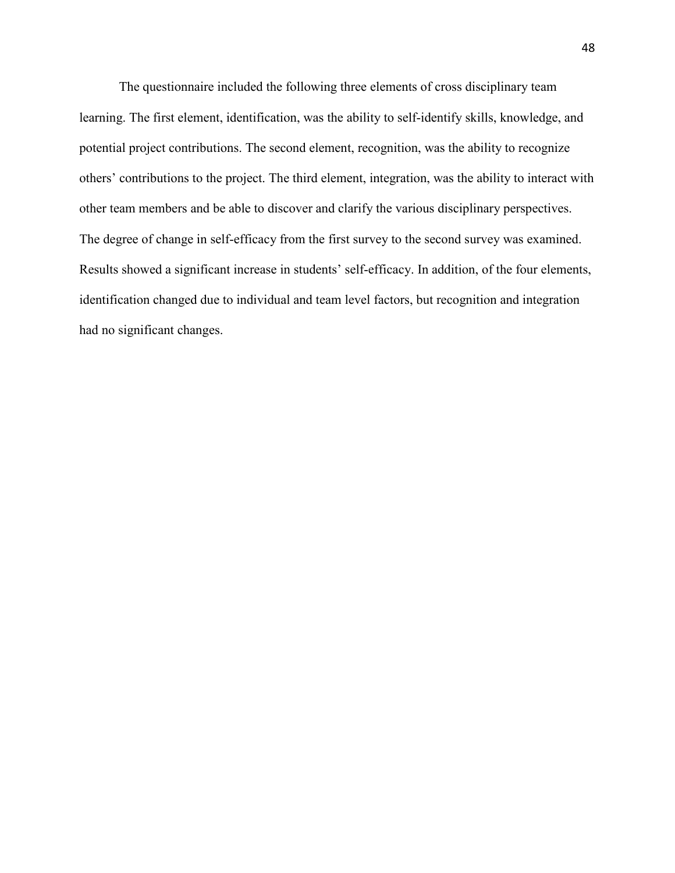The questionnaire included the following three elements of cross disciplinary team learning. The first element, identification, was the ability to self-identify skills, knowledge, and potential project contributions. The second element, recognition, was the ability to recognize others' contributions to the project. The third element, integration, was the ability to interact with other team members and be able to discover and clarify the various disciplinary perspectives. The degree of change in self-efficacy from the first survey to the second survey was examined. Results showed a significant increase in students' self-efficacy. In addition, of the four elements, identification changed due to individual and team level factors, but recognition and integration had no significant changes.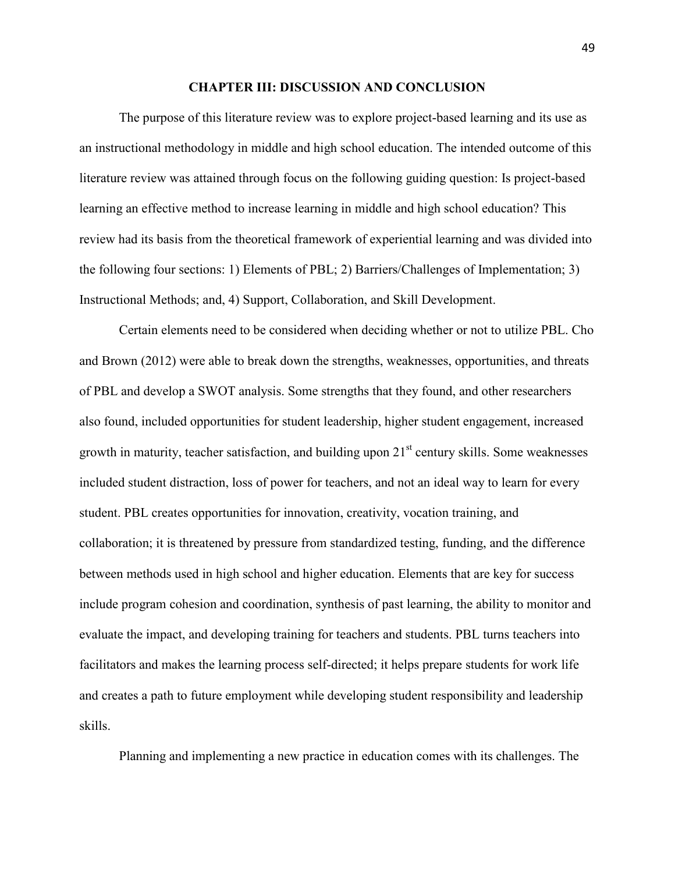#### **CHAPTER III: DISCUSSION AND CONCLUSION**

 The purpose of this literature review was to explore project-based learning and its use as an instructional methodology in middle and high school education. The intended outcome of this literature review was attained through focus on the following guiding question: Is project-based learning an effective method to increase learning in middle and high school education? This review had its basis from the theoretical framework of experiential learning and was divided into the following four sections: 1) Elements of PBL; 2) Barriers/Challenges of Implementation; 3) Instructional Methods; and, 4) Support, Collaboration, and Skill Development.

Certain elements need to be considered when deciding whether or not to utilize PBL. Cho and Brown (2012) were able to break down the strengths, weaknesses, opportunities, and threats of PBL and develop a SWOT analysis. Some strengths that they found, and other researchers also found, included opportunities for student leadership, higher student engagement, increased growth in maturity, teacher satisfaction, and building upon  $21<sup>st</sup>$  century skills. Some weaknesses included student distraction, loss of power for teachers, and not an ideal way to learn for every student. PBL creates opportunities for innovation, creativity, vocation training, and collaboration; it is threatened by pressure from standardized testing, funding, and the difference between methods used in high school and higher education. Elements that are key for success include program cohesion and coordination, synthesis of past learning, the ability to monitor and evaluate the impact, and developing training for teachers and students. PBL turns teachers into facilitators and makes the learning process self-directed; it helps prepare students for work life and creates a path to future employment while developing student responsibility and leadership skills.

Planning and implementing a new practice in education comes with its challenges. The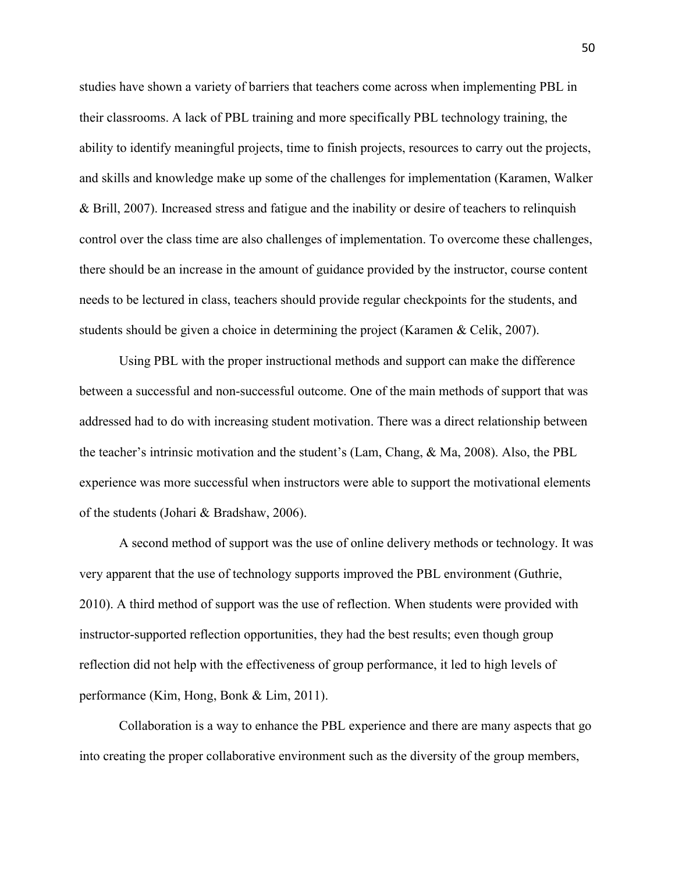studies have shown a variety of barriers that teachers come across when implementing PBL in their classrooms. A lack of PBL training and more specifically PBL technology training, the ability to identify meaningful projects, time to finish projects, resources to carry out the projects, and skills and knowledge make up some of the challenges for implementation (Karamen, Walker & Brill, 2007). Increased stress and fatigue and the inability or desire of teachers to relinquish control over the class time are also challenges of implementation. To overcome these challenges, there should be an increase in the amount of guidance provided by the instructor, course content needs to be lectured in class, teachers should provide regular checkpoints for the students, and students should be given a choice in determining the project (Karamen & Celik, 2007).

 Using PBL with the proper instructional methods and support can make the difference between a successful and non-successful outcome. One of the main methods of support that was addressed had to do with increasing student motivation. There was a direct relationship between the teacher's intrinsic motivation and the student's (Lam, Chang, & Ma, 2008). Also, the PBL experience was more successful when instructors were able to support the motivational elements of the students (Johari & Bradshaw, 2006).

A second method of support was the use of online delivery methods or technology. It was very apparent that the use of technology supports improved the PBL environment (Guthrie, 2010). A third method of support was the use of reflection. When students were provided with instructor-supported reflection opportunities, they had the best results; even though group reflection did not help with the effectiveness of group performance, it led to high levels of performance (Kim, Hong, Bonk & Lim, 2011).

 Collaboration is a way to enhance the PBL experience and there are many aspects that go into creating the proper collaborative environment such as the diversity of the group members,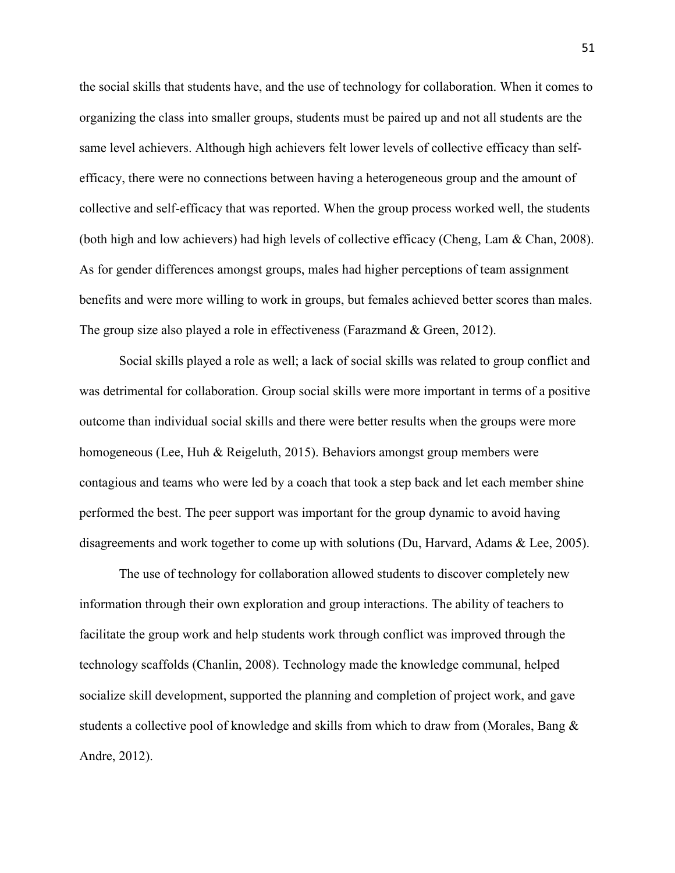the social skills that students have, and the use of technology for collaboration. When it comes to organizing the class into smaller groups, students must be paired up and not all students are the same level achievers. Although high achievers felt lower levels of collective efficacy than selfefficacy, there were no connections between having a heterogeneous group and the amount of collective and self-efficacy that was reported. When the group process worked well, the students (both high and low achievers) had high levels of collective efficacy (Cheng, Lam & Chan, 2008). As for gender differences amongst groups, males had higher perceptions of team assignment benefits and were more willing to work in groups, but females achieved better scores than males. The group size also played a role in effectiveness (Farazmand & Green, 2012).

Social skills played a role as well; a lack of social skills was related to group conflict and was detrimental for collaboration. Group social skills were more important in terms of a positive outcome than individual social skills and there were better results when the groups were more homogeneous (Lee, Huh & Reigeluth, 2015). Behaviors amongst group members were contagious and teams who were led by a coach that took a step back and let each member shine performed the best. The peer support was important for the group dynamic to avoid having disagreements and work together to come up with solutions (Du, Harvard, Adams & Lee, 2005).

 The use of technology for collaboration allowed students to discover completely new information through their own exploration and group interactions. The ability of teachers to facilitate the group work and help students work through conflict was improved through the technology scaffolds (Chanlin, 2008). Technology made the knowledge communal, helped socialize skill development, supported the planning and completion of project work, and gave students a collective pool of knowledge and skills from which to draw from (Morales, Bang & Andre, 2012).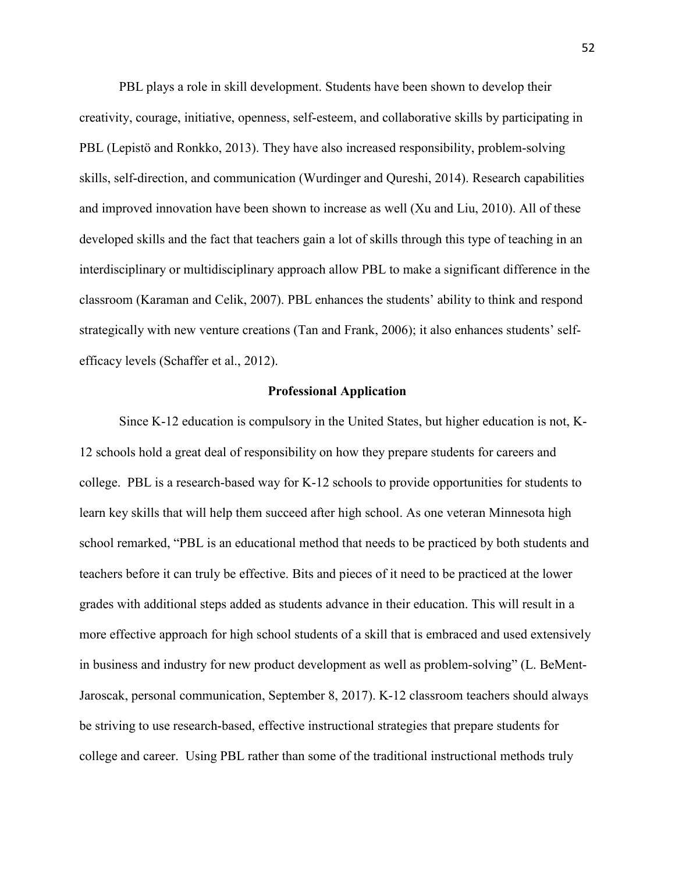PBL plays a role in skill development. Students have been shown to develop their creativity, courage, initiative, openness, self-esteem, and collaborative skills by participating in PBL (Lepistö and Ronkko, 2013). They have also increased responsibility, problem-solving skills, self-direction, and communication (Wurdinger and Qureshi, 2014). Research capabilities and improved innovation have been shown to increase as well (Xu and Liu, 2010). All of these developed skills and the fact that teachers gain a lot of skills through this type of teaching in an interdisciplinary or multidisciplinary approach allow PBL to make a significant difference in the classroom (Karaman and Celik, 2007). PBL enhances the students' ability to think and respond strategically with new venture creations (Tan and Frank, 2006); it also enhances students' selfefficacy levels (Schaffer et al., 2012).

#### **Professional Application**

Since K-12 education is compulsory in the United States, but higher education is not, K-12 schools hold a great deal of responsibility on how they prepare students for careers and college. PBL is a research-based way for K-12 schools to provide opportunities for students to learn key skills that will help them succeed after high school. As one veteran Minnesota high school remarked, "PBL is an educational method that needs to be practiced by both students and teachers before it can truly be effective. Bits and pieces of it need to be practiced at the lower grades with additional steps added as students advance in their education. This will result in a more effective approach for high school students of a skill that is embraced and used extensively in business and industry for new product development as well as problem-solving" (L. BeMent-Jaroscak, personal communication, September 8, 2017). K-12 classroom teachers should always be striving to use research-based, effective instructional strategies that prepare students for college and career. Using PBL rather than some of the traditional instructional methods truly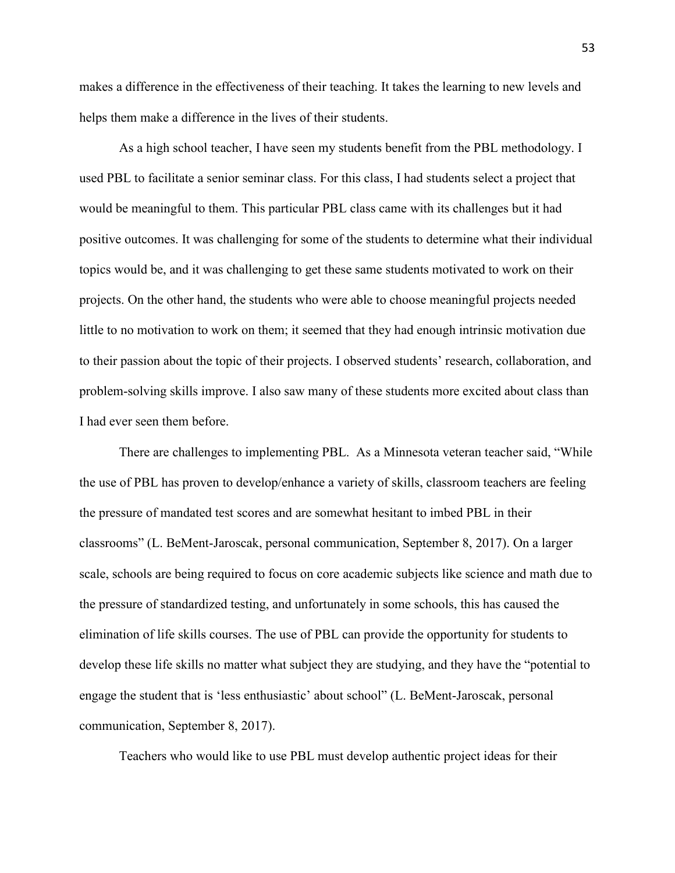makes a difference in the effectiveness of their teaching. It takes the learning to new levels and helps them make a difference in the lives of their students.

As a high school teacher, I have seen my students benefit from the PBL methodology. I used PBL to facilitate a senior seminar class. For this class, I had students select a project that would be meaningful to them. This particular PBL class came with its challenges but it had positive outcomes. It was challenging for some of the students to determine what their individual topics would be, and it was challenging to get these same students motivated to work on their projects. On the other hand, the students who were able to choose meaningful projects needed little to no motivation to work on them; it seemed that they had enough intrinsic motivation due to their passion about the topic of their projects. I observed students' research, collaboration, and problem-solving skills improve. I also saw many of these students more excited about class than I had ever seen them before.

There are challenges to implementing PBL. As a Minnesota veteran teacher said, "While the use of PBL has proven to develop/enhance a variety of skills, classroom teachers are feeling the pressure of mandated test scores and are somewhat hesitant to imbed PBL in their classrooms" (L. BeMent-Jaroscak, personal communication, September 8, 2017). On a larger scale, schools are being required to focus on core academic subjects like science and math due to the pressure of standardized testing, and unfortunately in some schools, this has caused the elimination of life skills courses. The use of PBL can provide the opportunity for students to develop these life skills no matter what subject they are studying, and they have the "potential to engage the student that is 'less enthusiastic' about school" (L. BeMent-Jaroscak, personal communication, September 8, 2017).

Teachers who would like to use PBL must develop authentic project ideas for their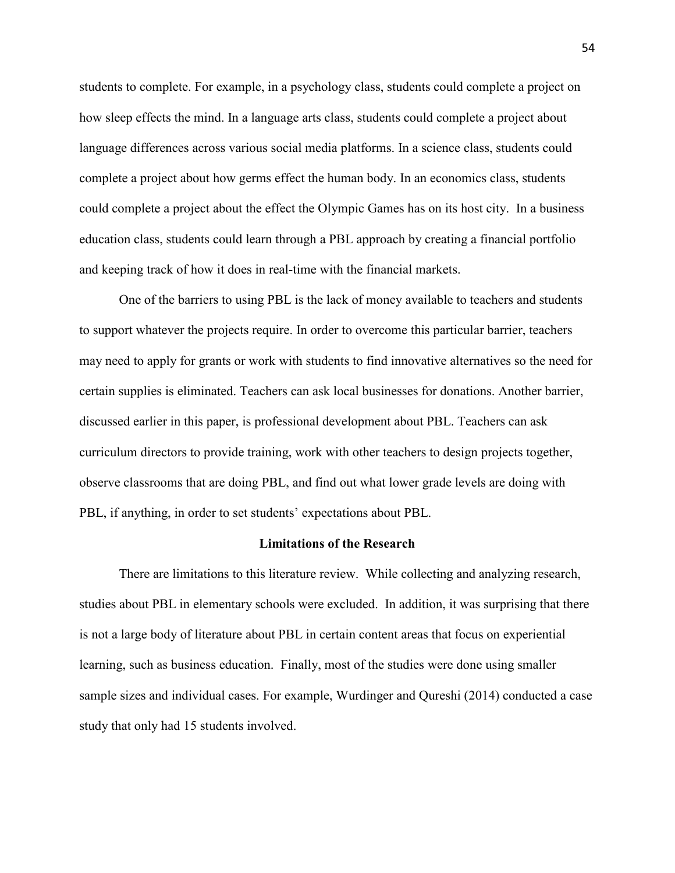students to complete. For example, in a psychology class, students could complete a project on how sleep effects the mind. In a language arts class, students could complete a project about language differences across various social media platforms. In a science class, students could complete a project about how germs effect the human body. In an economics class, students could complete a project about the effect the Olympic Games has on its host city. In a business education class, students could learn through a PBL approach by creating a financial portfolio and keeping track of how it does in real-time with the financial markets.

 One of the barriers to using PBL is the lack of money available to teachers and students to support whatever the projects require. In order to overcome this particular barrier, teachers may need to apply for grants or work with students to find innovative alternatives so the need for certain supplies is eliminated. Teachers can ask local businesses for donations. Another barrier, discussed earlier in this paper, is professional development about PBL. Teachers can ask curriculum directors to provide training, work with other teachers to design projects together, observe classrooms that are doing PBL, and find out what lower grade levels are doing with PBL, if anything, in order to set students' expectations about PBL.

#### **Limitations of the Research**

There are limitations to this literature review. While collecting and analyzing research, studies about PBL in elementary schools were excluded. In addition, it was surprising that there is not a large body of literature about PBL in certain content areas that focus on experiential learning, such as business education. Finally, most of the studies were done using smaller sample sizes and individual cases. For example, Wurdinger and Qureshi (2014) conducted a case study that only had 15 students involved.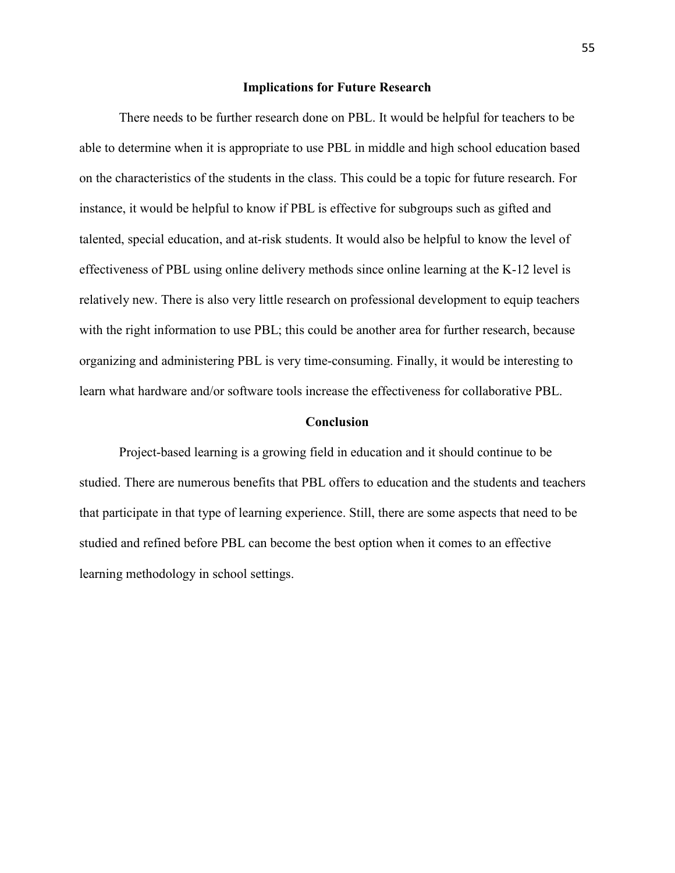#### **Implications for Future Research**

 There needs to be further research done on PBL. It would be helpful for teachers to be able to determine when it is appropriate to use PBL in middle and high school education based on the characteristics of the students in the class. This could be a topic for future research. For instance, it would be helpful to know if PBL is effective for subgroups such as gifted and talented, special education, and at-risk students. It would also be helpful to know the level of effectiveness of PBL using online delivery methods since online learning at the K-12 level is relatively new. There is also very little research on professional development to equip teachers with the right information to use PBL; this could be another area for further research, because organizing and administering PBL is very time-consuming. Finally, it would be interesting to learn what hardware and/or software tools increase the effectiveness for collaborative PBL.

#### **Conclusion**

Project-based learning is a growing field in education and it should continue to be studied. There are numerous benefits that PBL offers to education and the students and teachers that participate in that type of learning experience. Still, there are some aspects that need to be studied and refined before PBL can become the best option when it comes to an effective learning methodology in school settings.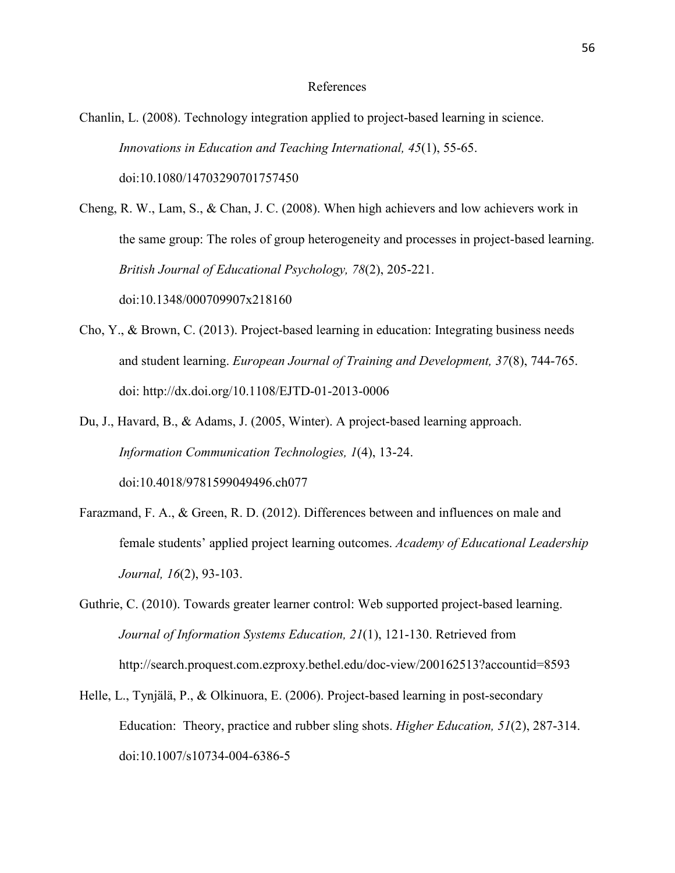#### References

Chanlin, L. (2008). Technology integration applied to project-based learning in science. *Innovations in Education and Teaching International, 45*(1), 55-65. doi:10.1080/14703290701757450

Cheng, R. W., Lam, S., & Chan, J. C. (2008). When high achievers and low achievers work in the same group: The roles of group heterogeneity and processes in project-based learning. *British Journal of Educational Psychology, 78*(2), 205-221. doi:10.1348/000709907x218160

- Cho, Y., & Brown, C. (2013). Project-based learning in education: Integrating business needs and student learning. *European Journal of Training and Development, 37*(8), 744-765. doi: http://dx.doi.org/10.1108/EJTD-01-2013-0006
- Du, J., Havard, B., & Adams, J. (2005, Winter). A project-based learning approach. *Information Communication Technologies, 1*(4), 13-24. doi:10.4018/9781599049496.ch077
- Farazmand, F. A., & Green, R. D. (2012). Differences between and influences on male and female students' applied project learning outcomes. *Academy of Educational Leadership Journal, 16*(2), 93-103.
- Guthrie, C. (2010). Towards greater learner control: Web supported project-based learning. *Journal of Information Systems Education, 21*(1), 121-130. Retrieved from http://search.proquest.com.ezproxy.bethel.edu/doc-view/200162513?accountid=8593
- Helle, L., Tynjälä, P., & Olkinuora, E. (2006). Project-based learning in post-secondary Education: Theory, practice and rubber sling shots. *Higher Education, 51*(2), 287-314. doi:10.1007/s10734-004-6386-5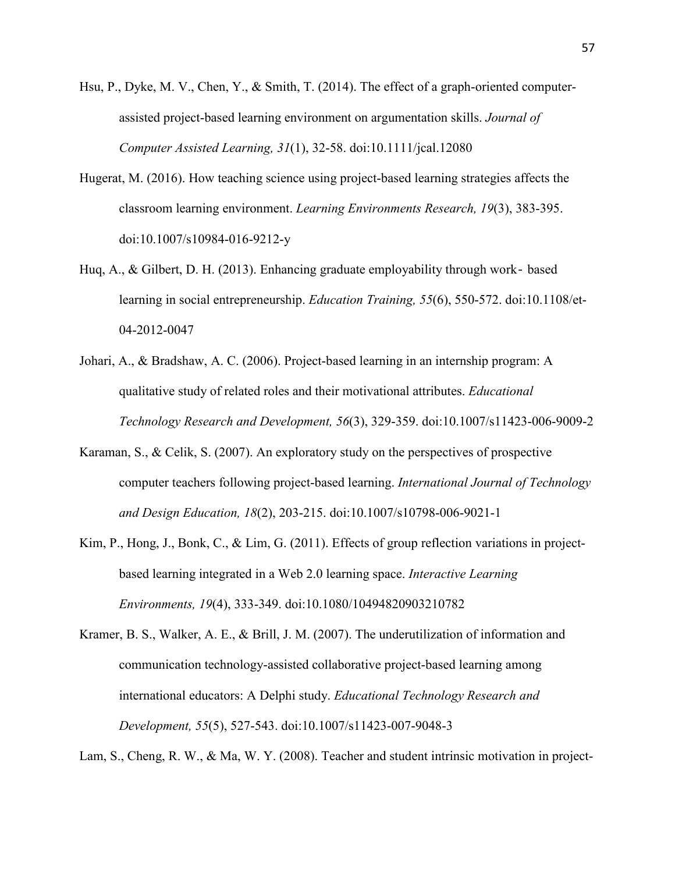- Hsu, P., Dyke, M. V., Chen, Y., & Smith, T. (2014). The effect of a graph-oriented computerassisted project-based learning environment on argumentation skills. *Journal of Computer Assisted Learning, 31*(1), 32-58. doi:10.1111/jcal.12080
- Hugerat, M. (2016). How teaching science using project-based learning strategies affects the classroom learning environment. *Learning Environments Research, 19*(3), 383-395. doi:10.1007/s10984-016-9212-y
- Huq, A., & Gilbert, D. H. (2013). Enhancing graduate employability through work‐ based learning in social entrepreneurship. *Education Training, 55*(6), 550-572. doi:10.1108/et- 04-2012-0047
- Johari, A., & Bradshaw, A. C. (2006). Project-based learning in an internship program: A qualitative study of related roles and their motivational attributes. *Educational Technology Research and Development, 56*(3), 329-359. doi:10.1007/s11423-006-9009-2
- Karaman, S., & Celik, S. (2007). An exploratory study on the perspectives of prospective computer teachers following project-based learning. *International Journal of Technology and Design Education, 18*(2), 203-215. doi:10.1007/s10798-006-9021-1
- Kim, P., Hong, J., Bonk, C., & Lim, G. (2011). Effects of group reflection variations in project based learning integrated in a Web 2.0 learning space. *Interactive Learning Environments, 19*(4), 333-349. doi:10.1080/10494820903210782
- Kramer, B. S., Walker, A. E., & Brill, J. M. (2007). The underutilization of information and communication technology-assisted collaborative project-based learning among international educators: A Delphi study. *Educational Technology Research and Development, 55*(5), 527-543. doi:10.1007/s11423-007-9048-3

Lam, S., Cheng, R. W., & Ma, W. Y. (2008). Teacher and student intrinsic motivation in project-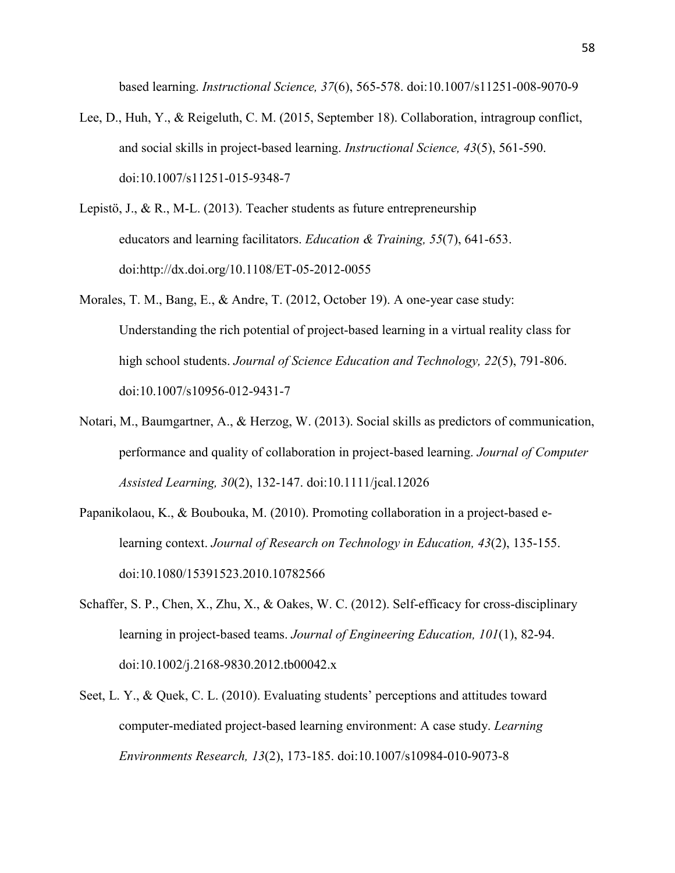based learning. *Instructional Science, 37*(6), 565-578. doi:10.1007/s11251-008-9070-9

- Lee, D., Huh, Y., & Reigeluth, C. M. (2015, September 18). Collaboration, intragroup conflict, and social skills in project-based learning. *Instructional Science, 43*(5), 561-590. doi:10.1007/s11251-015-9348-7
- Lepistö, J., & R., M-L. (2013). Teacher students as future entrepreneurship educators and learning facilitators. *Education & Training, 55*(7), 641-653. doi:http://dx.doi.org/10.1108/ET-05-2012-0055
- Morales, T. M., Bang, E., & Andre, T. (2012, October 19). A one-year case study: Understanding the rich potential of project-based learning in a virtual reality class for high school students. *Journal of Science Education and Technology, 22*(5), 791-806. doi:10.1007/s10956-012-9431-7
- Notari, M., Baumgartner, A., & Herzog, W. (2013). Social skills as predictors of communication, performance and quality of collaboration in project-based learning. *Journal of Computer Assisted Learning, 30*(2), 132-147. doi:10.1111/jcal.12026
- Papanikolaou, K., & Boubouka, M. (2010). Promoting collaboration in a project-based elearning context. *Journal of Research on Technology in Education, 43*(2), 135-155. doi:10.1080/15391523.2010.10782566
- Schaffer, S. P., Chen, X., Zhu, X., & Oakes, W. C. (2012). Self-efficacy for cross-disciplinary learning in project-based teams. *Journal of Engineering Education, 101*(1), 82-94. doi:10.1002/j.2168-9830.2012.tb00042.x
- Seet, L. Y., & Quek, C. L. (2010). Evaluating students' perceptions and attitudes toward computer-mediated project-based learning environment: A case study. *Learning Environments Research, 13*(2), 173-185. doi:10.1007/s10984-010-9073-8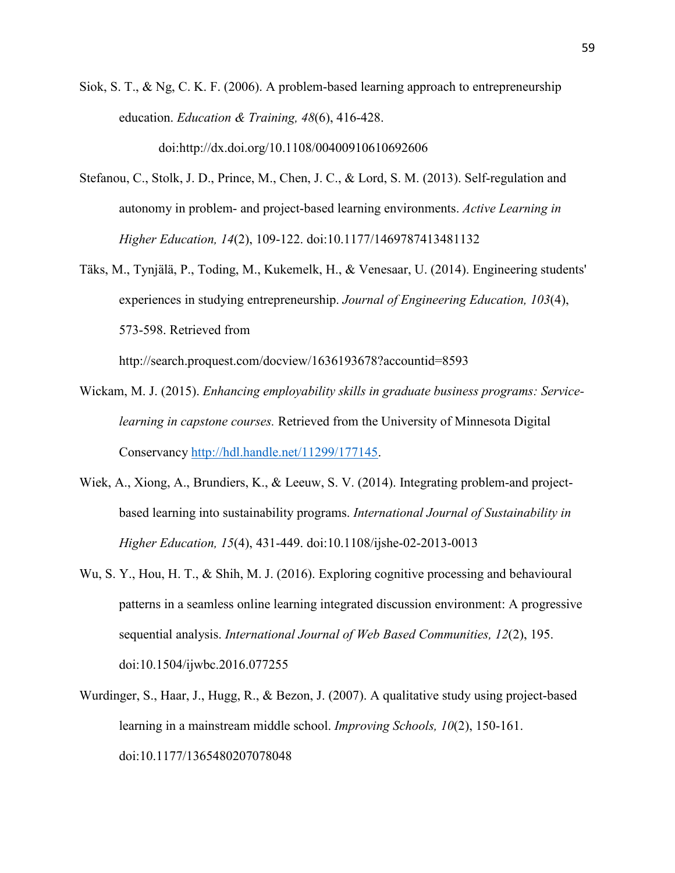Siok, S. T., & Ng, C. K. F. (2006). A problem-based learning approach to entrepreneurship education. *Education & Training, 48*(6), 416-428.

doi:http://dx.doi.org/10.1108/00400910610692606

- Stefanou, C., Stolk, J. D., Prince, M., Chen, J. C., & Lord, S. M. (2013). Self-regulation and autonomy in problem- and project-based learning environments. *Active Learning in Higher Education, 14*(2), 109-122. doi:10.1177/1469787413481132
- Täks, M., Tynjälä, P., Toding, M., Kukemelk, H., & Venesaar, U. (2014). Engineering students' experiences in studying entrepreneurship. *Journal of Engineering Education, 103*(4), 573-598. Retrieved from

http://search.proquest.com/docview/1636193678?accountid=8593

- Wickam, M. J. (2015). *Enhancing employability skills in graduate business programs: Service learning in capstone courses.* Retrieved from the University of Minnesota Digital Conservancy [http://hdl.handle.net/11299/177145.](http://hdl.handle.net/11299/177145)
- Wiek, A., Xiong, A., Brundiers, K., & Leeuw, S. V. (2014). Integrating problem-and project based learning into sustainability programs. *International Journal of Sustainability in Higher Education, 15*(4), 431-449. doi:10.1108/ijshe-02-2013-0013
- Wu, S. Y., Hou, H. T., & Shih, M. J. (2016). Exploring cognitive processing and behavioural patterns in a seamless online learning integrated discussion environment: A progressive sequential analysis. *International Journal of Web Based Communities, 12*(2), 195. doi:10.1504/ijwbc.2016.077255
- Wurdinger, S., Haar, J., Hugg, R., & Bezon, J. (2007). A qualitative study using project-based learning in a mainstream middle school. *Improving Schools, 10*(2), 150-161. doi:10.1177/1365480207078048